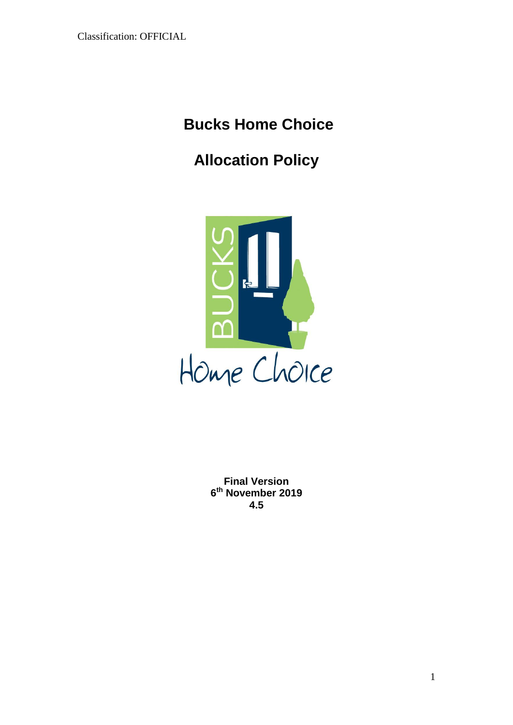# **Bucks Home Choice**

# **Allocation Policy**



**Final Version 6 th November 2019 4.5**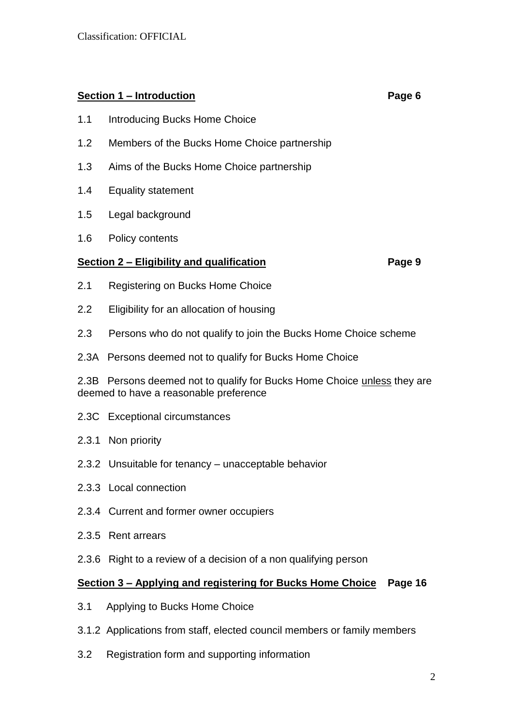# **Section 1 – Introduction Page 6**

- 1.1 Introducing Bucks Home Choice
- 1.2 Members of the Bucks Home Choice partnership
- 1.3 Aims of the Bucks Home Choice partnership
- 1.4 Equality statement
- 1.5 Legal background
- 1.6 Policy contents

## **Section 2 – Eligibility and qualification Page 9**

- 2.1 Registering on Bucks Home Choice
- 2.2 Eligibility for an allocation of housing
- 2.3 Persons who do not qualify to join the Bucks Home Choice scheme
- 2.3A Persons deemed not to qualify for Bucks Home Choice

2.3B Persons deemed not to qualify for Bucks Home Choice unless they are deemed to have a reasonable preference

- 2.3C Exceptional circumstances
- 2.3.1 Non priority
- 2.3.2 Unsuitable for tenancy unacceptable behavior
- 2.3.3 Local connection
- 2.3.4 Current and former owner occupiers
- 2.3.5 Rent arrears
- 2.3.6 Right to a review of a decision of a non qualifying person

## **Section 3 – Applying and registering for Bucks Home Choice Page 16**

- 3.1 Applying to Bucks Home Choice
- 3.1.2 Applications from staff, elected council members or family members
- 3.2 Registration form and supporting information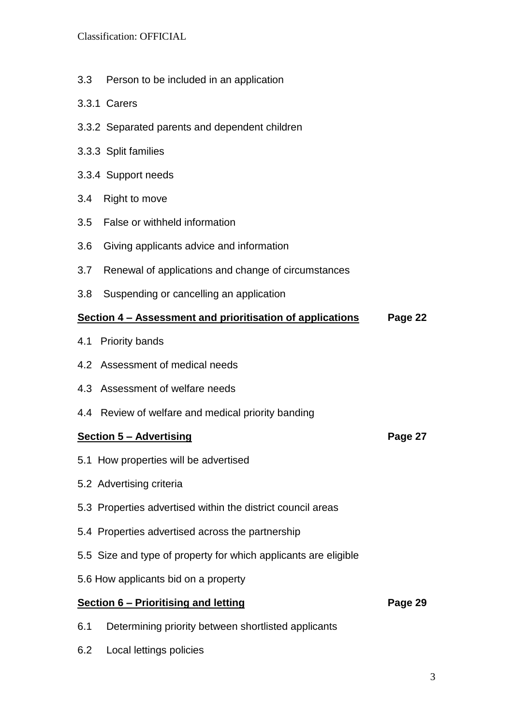- 3.3 Person to be included in an application
- 3.3.1 Carers
- 3.3.2 Separated parents and dependent children
- 3.3.3 Split families
- 3.3.4 Support needs
- 3.4 Right to move
- 3.5 False or withheld information
- 3.6 Giving applicants advice and information
- 3.7 Renewal of applications and change of circumstances
- 3.8 Suspending or cancelling an application

#### **Section 4 – Assessment and prioritisation of applications Page 22**

- 4.1 Priority bands
- 4.2 Assessment of medical needs
- 4.3 Assessment of welfare needs
- 4.4 Review of welfare and medical priority banding

#### **Section 5 – Advertising Page 27**

- 5.1 How properties will be advertised
- 5.2 Advertising criteria
- 5.3 Properties advertised within the district council areas
- 5.4 Properties advertised across the partnership
- 5.5 Size and type of property for which applicants are eligible
- 5.6 How applicants bid on a property

# **Section 6 – Prioritising and letting <b>Page 29 Page 29**

- 6.1 Determining priority between shortlisted applicants
- 6.2 Local lettings policies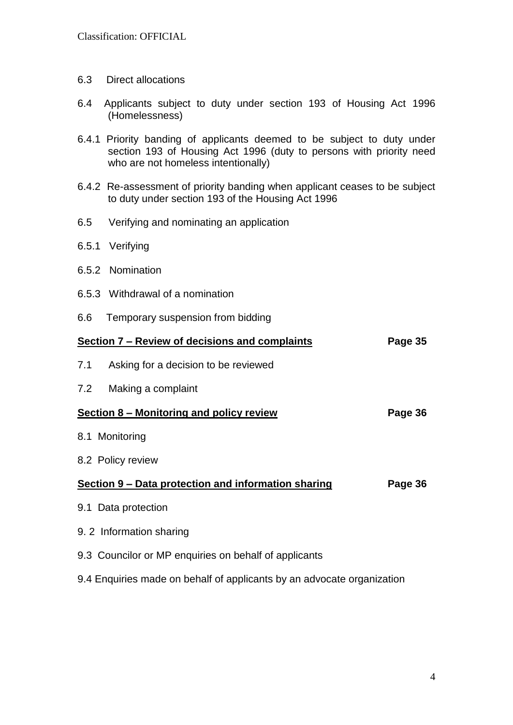- 6.3 Direct allocations
- 6.4 Applicants subject to duty under section 193 of Housing Act 1996 (Homelessness)
- 6.4.1 Priority banding of applicants deemed to be subject to duty under section 193 of Housing Act 1996 (duty to persons with priority need who are not homeless intentionally)
- 6.4.2 Re-assessment of priority banding when applicant ceases to be subject to duty under section 193 of the Housing Act 1996
- 6.5 Verifying and nominating an application
- 6.5.1 Verifying
- 6.5.2 Nomination
- 6.5.3 Withdrawal of a nomination
- 6.6 Temporary suspension from bidding

| Section 7 – Review of decisions and complaints<br>Page 35              |         |  |  |
|------------------------------------------------------------------------|---------|--|--|
| Asking for a decision to be reviewed<br>7.1                            |         |  |  |
| Making a complaint<br>7.2                                              |         |  |  |
| Section 8 – Monitoring and policy review                               | Page 36 |  |  |
| 8.1 Monitoring                                                         |         |  |  |
| 8.2 Policy review                                                      |         |  |  |
| Section 9 - Data protection and information sharing                    | Page 36 |  |  |
| 9.1 Data protection                                                    |         |  |  |
| 9. 2 Information sharing                                               |         |  |  |
| 9.3 Councilor or MP enquiries on behalf of applicants                  |         |  |  |
| 9.4 Enquiries made on behalf of applicants by an advocate organization |         |  |  |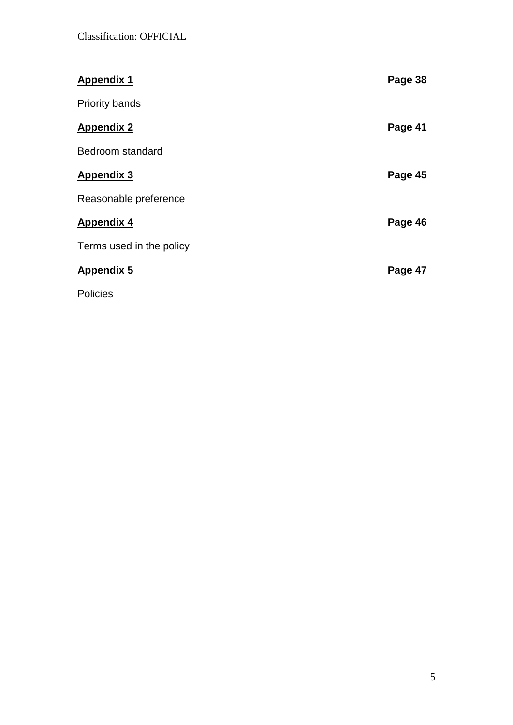| <b>Appendix 1</b>        | Page 38 |
|--------------------------|---------|
| <b>Priority bands</b>    |         |
| <b>Appendix 2</b>        | Page 41 |
| Bedroom standard         |         |
| <b>Appendix 3</b>        | Page 45 |
| Reasonable preference    |         |
| <b>Appendix 4</b>        | Page 46 |
| Terms used in the policy |         |
| <b>Appendix 5</b>        | Page 47 |
| <b>Policies</b>          |         |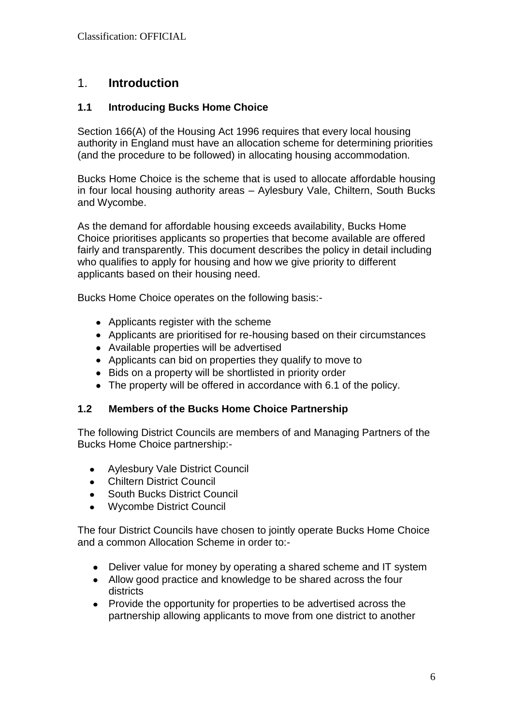# 1. **Introduction**

# **1.1 Introducing Bucks Home Choice**

Section 166(A) of the Housing Act 1996 requires that every local housing authority in England must have an allocation scheme for determining priorities (and the procedure to be followed) in allocating housing accommodation.

Bucks Home Choice is the scheme that is used to allocate affordable housing in four local housing authority areas – Aylesbury Vale, Chiltern, South Bucks and Wycombe.

As the demand for affordable housing exceeds availability, Bucks Home Choice prioritises applicants so properties that become available are offered fairly and transparently. This document describes the policy in detail including who qualifies to apply for housing and how we give priority to different applicants based on their housing need.

Bucks Home Choice operates on the following basis:-

- Applicants register with the scheme
- Applicants are prioritised for re-housing based on their circumstances
- Available properties will be advertised
- Applicants can bid on properties they qualify to move to
- Bids on a property will be shortlisted in priority order
- The property will be offered in accordance with 6.1 of the policy.

## **1.2 Members of the Bucks Home Choice Partnership**

The following District Councils are members of and Managing Partners of the Bucks Home Choice partnership:-

- Aylesbury Vale District Council  $\bullet$
- Chiltern District Council  $\bullet$
- South Bucks District Council  $\bullet$
- Wycombe District Council

The four District Councils have chosen to jointly operate Bucks Home Choice and a common Allocation Scheme in order to:-

- Deliver value for money by operating a shared scheme and IT system  $\bullet$
- Allow good practice and knowledge to be shared across the four districts
- $\bullet$ Provide the opportunity for properties to be advertised across the partnership allowing applicants to move from one district to another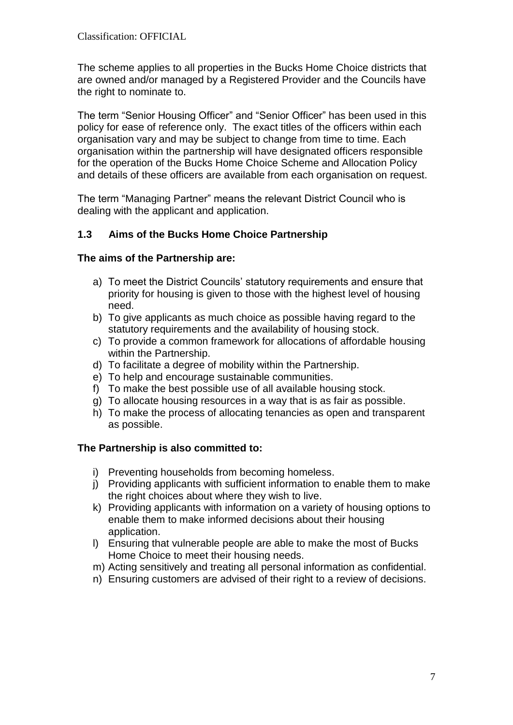The scheme applies to all properties in the Bucks Home Choice districts that are owned and/or managed by a Registered Provider and the Councils have the right to nominate to.

The term "Senior Housing Officer" and "Senior Officer" has been used in this policy for ease of reference only. The exact titles of the officers within each organisation vary and may be subject to change from time to time. Each organisation within the partnership will have designated officers responsible for the operation of the Bucks Home Choice Scheme and Allocation Policy and details of these officers are available from each organisation on request.

The term "Managing Partner" means the relevant District Council who is dealing with the applicant and application.

## **1.3 Aims of the Bucks Home Choice Partnership**

#### **The aims of the Partnership are:**

- a) To meet the District Councils' statutory requirements and ensure that priority for housing is given to those with the highest level of housing need.
- b) To give applicants as much choice as possible having regard to the statutory requirements and the availability of housing stock.
- c) To provide a common framework for allocations of affordable housing within the Partnership.
- d) To facilitate a degree of mobility within the Partnership.
- e) To help and encourage sustainable communities.
- f) To make the best possible use of all available housing stock.
- g) To allocate housing resources in a way that is as fair as possible.
- h) To make the process of allocating tenancies as open and transparent as possible.

## **The Partnership is also committed to:**

- i) Preventing households from becoming homeless.
- j) Providing applicants with sufficient information to enable them to make the right choices about where they wish to live.
- k) Providing applicants with information on a variety of housing options to enable them to make informed decisions about their housing application.
- l) Ensuring that vulnerable people are able to make the most of Bucks Home Choice to meet their housing needs.
- m) Acting sensitively and treating all personal information as confidential.
- n) Ensuring customers are advised of their right to a review of decisions.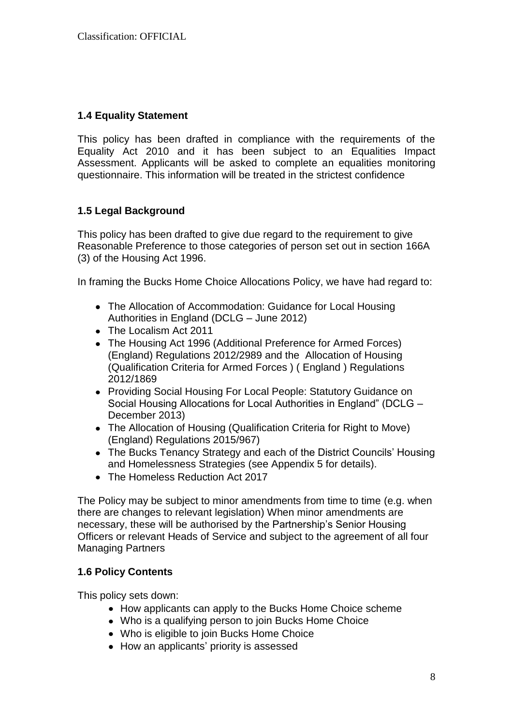## **1.4 Equality Statement**

This policy has been drafted in compliance with the requirements of the Equality Act 2010 and it has been subject to an Equalities Impact Assessment. Applicants will be asked to complete an equalities monitoring questionnaire. This information will be treated in the strictest confidence

## **1.5 Legal Background**

This policy has been drafted to give due regard to the requirement to give Reasonable Preference to those categories of person set out in section 166A (3) of the Housing Act 1996.

In framing the Bucks Home Choice Allocations Policy, we have had regard to:

- The Allocation of Accommodation: Guidance for Local Housing Authorities in England (DCLG – June 2012)
- The Localism Act 2011
- The Housing Act 1996 (Additional Preference for Armed Forces) (England) Regulations 2012/2989 and the Allocation of Housing (Qualification Criteria for Armed Forces ) ( England ) Regulations 2012/1869
- Providing Social Housing For Local People: Statutory Guidance on Social Housing Allocations for Local Authorities in England" (DCLG – December 2013)
- The Allocation of Housing (Qualification Criteria for Right to Move) (England) Regulations 2015/967)
- The Bucks Tenancy Strategy and each of the District Councils' Housing and Homelessness Strategies (see Appendix 5 for details).
- The Homeless Reduction Act 2017

The Policy may be subject to minor amendments from time to time (e.g. when there are changes to relevant legislation) When minor amendments are necessary, these will be authorised by the Partnership's Senior Housing Officers or relevant Heads of Service and subject to the agreement of all four Managing Partners

#### **1.6 Policy Contents**

This policy sets down:

- How applicants can apply to the Bucks Home Choice scheme
- Who is a qualifying person to join Bucks Home Choice
- Who is eligible to join Bucks Home Choice
- How an applicants' priority is assessed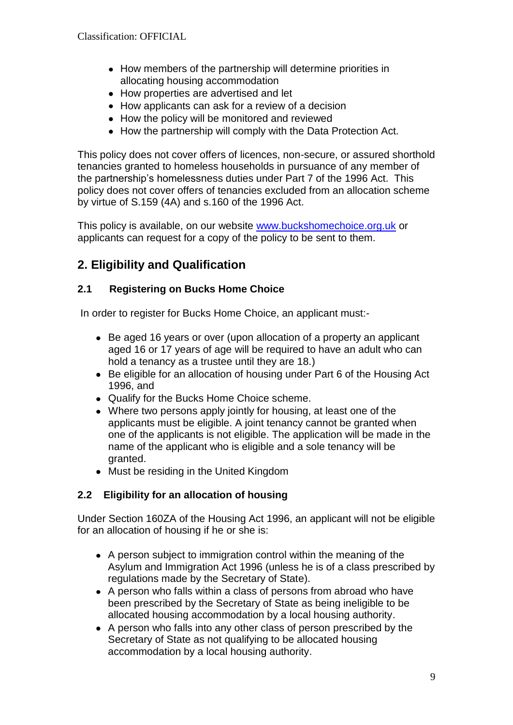- How members of the partnership will determine priorities in allocating housing accommodation
- How properties are advertised and let
- How applicants can ask for a review of a decision
- How the policy will be monitored and reviewed
- How the partnership will comply with the Data Protection Act.

This policy does not cover offers of licences, non-secure, or assured shorthold tenancies granted to homeless households in pursuance of any member of the partnership's homelessness duties under Part 7 of the 1996 Act. This policy does not cover offers of tenancies excluded from an allocation scheme by virtue of S.159 (4A) and s.160 of the 1996 Act.

This policy is available, on our website [www.buckshomechoice.org.uk](http://www.buckshomechoice.org.uk/) or applicants can request for a copy of the policy to be sent to them.

# **2. Eligibility and Qualification**

# **2.1 Registering on Bucks Home Choice**

In order to register for Bucks Home Choice, an applicant must:-

- Be aged 16 years or over (upon allocation of a property an applicant aged 16 or 17 years of age will be required to have an adult who can hold a tenancy as a trustee until they are 18.)
- Be eligible for an allocation of housing under Part 6 of the Housing Act 1996, and
- Qualify for the Bucks Home Choice scheme.
- Where two persons apply jointly for housing, at least one of the applicants must be eligible. A joint tenancy cannot be granted when one of the applicants is not eligible. The application will be made in the name of the applicant who is eligible and a sole tenancy will be granted.
- Must be residing in the United Kingdom

# **2.2 Eligibility for an allocation of housing**

Under Section 160ZA of the Housing Act 1996, an applicant will not be eligible for an allocation of housing if he or she is:

- A person subject to immigration control within the meaning of the Asylum and Immigration Act 1996 (unless he is of a class prescribed by regulations made by the Secretary of State).
- A person who falls within a class of persons from abroad who have been prescribed by the Secretary of State as being ineligible to be allocated housing accommodation by a local housing authority.
- A person who falls into any other class of person prescribed by the Secretary of State as not qualifying to be allocated housing accommodation by a local housing authority.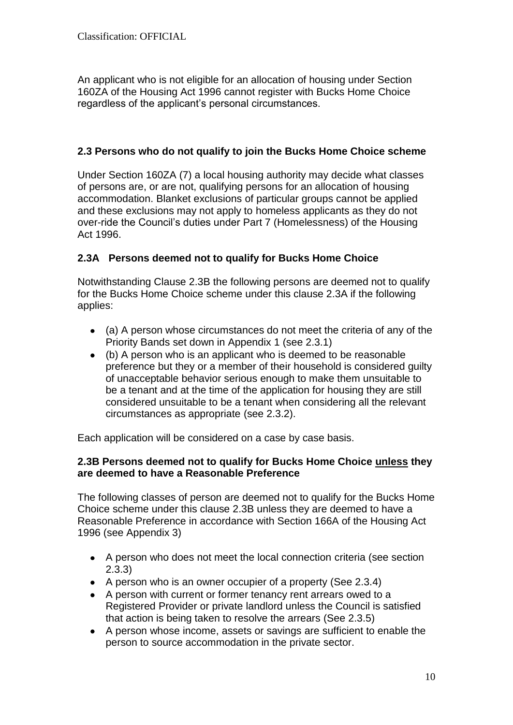An applicant who is not eligible for an allocation of housing under Section 160ZA of the Housing Act 1996 cannot register with Bucks Home Choice regardless of the applicant's personal circumstances.

#### **2.3 Persons who do not qualify to join the Bucks Home Choice scheme**

Under Section 160ZA (7) a local housing authority may decide what classes of persons are, or are not, qualifying persons for an allocation of housing accommodation. Blanket exclusions of particular groups cannot be applied and these exclusions may not apply to homeless applicants as they do not over-ride the Council's duties under Part 7 (Homelessness) of the Housing Act 1996.

## **2.3A Persons deemed not to qualify for Bucks Home Choice**

Notwithstanding Clause 2.3B the following persons are deemed not to qualify for the Bucks Home Choice scheme under this clause 2.3A if the following applies:

- (a) A person whose circumstances do not meet the criteria of any of the Priority Bands set down in Appendix 1 (see 2.3.1)
- (b) A person who is an applicant who is deemed to be reasonable preference but they or a member of their household is considered guilty of unacceptable behavior serious enough to make them unsuitable to be a tenant and at the time of the application for housing they are still considered unsuitable to be a tenant when considering all the relevant circumstances as appropriate (see 2.3.2).

Each application will be considered on a case by case basis.

#### **2.3B Persons deemed not to qualify for Bucks Home Choice unless they are deemed to have a Reasonable Preference**

The following classes of person are deemed not to qualify for the Bucks Home Choice scheme under this clause 2.3B unless they are deemed to have a Reasonable Preference in accordance with Section 166A of the Housing Act 1996 (see Appendix 3)

- A person who does not meet the local connection criteria (see section 2.3.3)
- $\bullet$  A person who is an owner occupier of a property (See 2.3.4)
- A person with current or former tenancy rent arrears owed to a Registered Provider or private landlord unless the Council is satisfied that action is being taken to resolve the arrears (See 2.3.5)
- A person whose income, assets or savings are sufficient to enable the person to source accommodation in the private sector.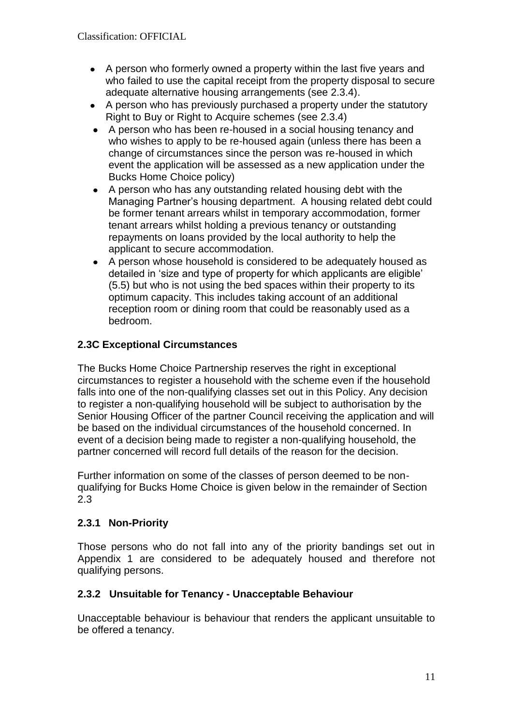- A person who formerly owned a property within the last five years and who failed to use the capital receipt from the property disposal to secure adequate alternative housing arrangements (see 2.3.4).
- A person who has previously purchased a property under the statutory Right to Buy or Right to Acquire schemes (see 2.3.4)
- A person who has been re-housed in a social housing tenancy and who wishes to apply to be re-housed again (unless there has been a change of circumstances since the person was re-housed in which event the application will be assessed as a new application under the Bucks Home Choice policy)
- A person who has any outstanding related housing debt with the  $\bullet$ Managing Partner's housing department. A housing related debt could be former tenant arrears whilst in temporary accommodation, former tenant arrears whilst holding a previous tenancy or outstanding repayments on loans provided by the local authority to help the applicant to secure accommodation.
- A person whose household is considered to be adequately housed as  $\bullet$ detailed in 'size and type of property for which applicants are eligible' (5.5) but who is not using the bed spaces within their property to its optimum capacity. This includes taking account of an additional reception room or dining room that could be reasonably used as a bedroom.

# **2.3C Exceptional Circumstances**

The Bucks Home Choice Partnership reserves the right in exceptional circumstances to register a household with the scheme even if the household falls into one of the non-qualifying classes set out in this Policy. Any decision to register a non-qualifying household will be subject to authorisation by the Senior Housing Officer of the partner Council receiving the application and will be based on the individual circumstances of the household concerned. In event of a decision being made to register a non-qualifying household, the partner concerned will record full details of the reason for the decision.

Further information on some of the classes of person deemed to be nonqualifying for Bucks Home Choice is given below in the remainder of Section 2.3

## **2.3.1 Non-Priority**

Those persons who do not fall into any of the priority bandings set out in Appendix 1 are considered to be adequately housed and therefore not qualifying persons.

## **2.3.2 Unsuitable for Tenancy - Unacceptable Behaviour**

Unacceptable behaviour is behaviour that renders the applicant unsuitable to be offered a tenancy.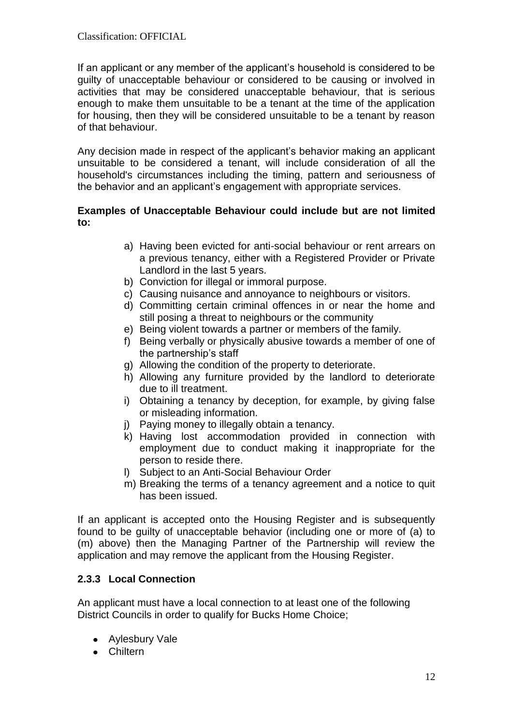If an applicant or any member of the applicant's household is considered to be guilty of unacceptable behaviour or considered to be causing or involved in activities that may be considered unacceptable behaviour, that is serious enough to make them unsuitable to be a tenant at the time of the application for housing, then they will be considered unsuitable to be a tenant by reason of that behaviour.

Any decision made in respect of the applicant's behavior making an applicant unsuitable to be considered a tenant, will include consideration of all the household's circumstances including the timing, pattern and seriousness of the behavior and an applicant's engagement with appropriate services.

#### **Examples of Unacceptable Behaviour could include but are not limited to:**

- a) Having been evicted for anti-social behaviour or rent arrears on a previous tenancy, either with a Registered Provider or Private Landlord in the last 5 years.
- b) Conviction for illegal or immoral purpose.
- c) Causing nuisance and annoyance to neighbours or visitors.
- d) Committing certain criminal offences in or near the home and still posing a threat to neighbours or the community
- e) Being violent towards a partner or members of the family.
- f) Being verbally or physically abusive towards a member of one of the partnership's staff
- g) Allowing the condition of the property to deteriorate.
- h) Allowing any furniture provided by the landlord to deteriorate due to ill treatment.
- i) Obtaining a tenancy by deception, for example, by giving false or misleading information.
- j) Paying money to illegally obtain a tenancy.
- k) Having lost accommodation provided in connection with employment due to conduct making it inappropriate for the person to reside there.
- l) Subject to an Anti-Social Behaviour Order
- m) Breaking the terms of a tenancy agreement and a notice to quit has been issued.

If an applicant is accepted onto the Housing Register and is subsequently found to be guilty of unacceptable behavior (including one or more of (a) to (m) above) then the Managing Partner of the Partnership will review the application and may remove the applicant from the Housing Register.

## **2.3.3 Local Connection**

An applicant must have a local connection to at least one of the following District Councils in order to qualify for Bucks Home Choice;

- Aylesbury Vale
- Chiltern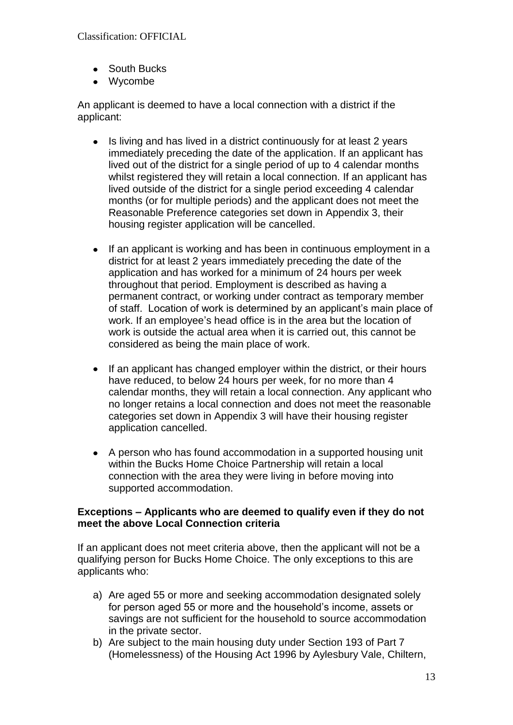- South Bucks
- Wycombe

An applicant is deemed to have a local connection with a district if the applicant:

- Is living and has lived in a district continuously for at least 2 years immediately preceding the date of the application. If an applicant has lived out of the district for a single period of up to 4 calendar months whilst registered they will retain a local connection. If an applicant has lived outside of the district for a single period exceeding 4 calendar months (or for multiple periods) and the applicant does not meet the Reasonable Preference categories set down in Appendix 3, their housing register application will be cancelled.
- If an applicant is working and has been in continuous employment in a district for at least 2 years immediately preceding the date of the application and has worked for a minimum of 24 hours per week throughout that period. Employment is described as having a permanent contract, or working under contract as temporary member of staff. Location of work is determined by an applicant's main place of work. If an employee's head office is in the area but the location of work is outside the actual area when it is carried out, this cannot be considered as being the main place of work.
- If an applicant has changed employer within the district, or their hours have reduced, to below 24 hours per week, for no more than 4 calendar months, they will retain a local connection. Any applicant who no longer retains a local connection and does not meet the reasonable categories set down in Appendix 3 will have their housing register application cancelled.
- A person who has found accommodation in a supported housing unit within the Bucks Home Choice Partnership will retain a local connection with the area they were living in before moving into supported accommodation.

#### **Exceptions – Applicants who are deemed to qualify even if they do not meet the above Local Connection criteria**

If an applicant does not meet criteria above, then the applicant will not be a qualifying person for Bucks Home Choice. The only exceptions to this are applicants who:

- a) Are aged 55 or more and seeking accommodation designated solely for person aged 55 or more and the household's income, assets or savings are not sufficient for the household to source accommodation in the private sector.
- b) Are subject to the main housing duty under Section 193 of Part 7 (Homelessness) of the Housing Act 1996 by Aylesbury Vale, Chiltern,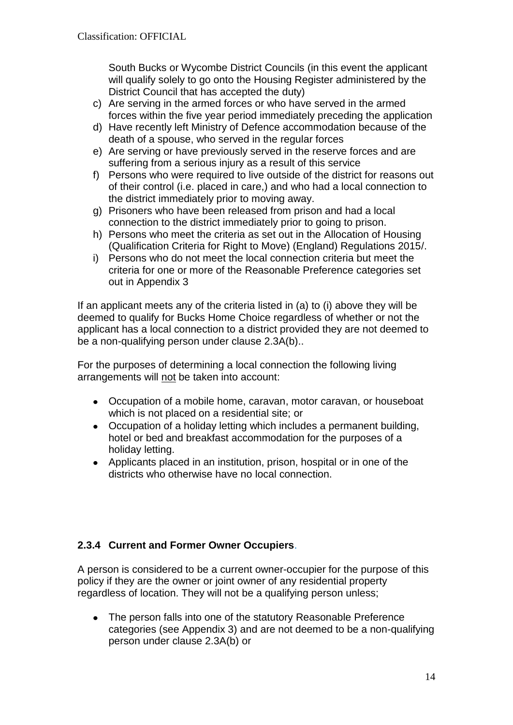South Bucks or Wycombe District Councils (in this event the applicant will qualify solely to go onto the Housing Register administered by the District Council that has accepted the duty)

- c) Are serving in the armed forces or who have served in the armed forces within the five year period immediately preceding the application
- d) Have recently left Ministry of Defence accommodation because of the death of a spouse, who served in the regular forces
- e) Are serving or have previously served in the reserve forces and are suffering from a serious injury as a result of this service
- f) Persons who were required to live outside of the district for reasons out of their control (i.e. placed in care,) and who had a local connection to the district immediately prior to moving away.
- g) Prisoners who have been released from prison and had a local connection to the district immediately prior to going to prison.
- h) Persons who meet the criteria as set out in the Allocation of Housing (Qualification Criteria for Right to Move) (England) Regulations 2015/.
- i) Persons who do not meet the local connection criteria but meet the criteria for one or more of the Reasonable Preference categories set out in Appendix 3

If an applicant meets any of the criteria listed in (a) to (i) above they will be deemed to qualify for Bucks Home Choice regardless of whether or not the applicant has a local connection to a district provided they are not deemed to be a non-qualifying person under clause 2.3A(b)..

For the purposes of determining a local connection the following living arrangements will not be taken into account:

- Occupation of a mobile home, caravan, motor caravan, or houseboat which is not placed on a residential site; or
- Occupation of a holiday letting which includes a permanent building, hotel or bed and breakfast accommodation for the purposes of a holiday letting.
- Applicants placed in an institution, prison, hospital or in one of the districts who otherwise have no local connection.

# **2.3.4 Current and Former Owner Occupiers**.

A person is considered to be a current owner-occupier for the purpose of this policy if they are the owner or joint owner of any residential property regardless of location. They will not be a qualifying person unless;

 $\bullet$ The person falls into one of the statutory Reasonable Preference categories (see Appendix 3) and are not deemed to be a non-qualifying person under clause 2.3A(b) or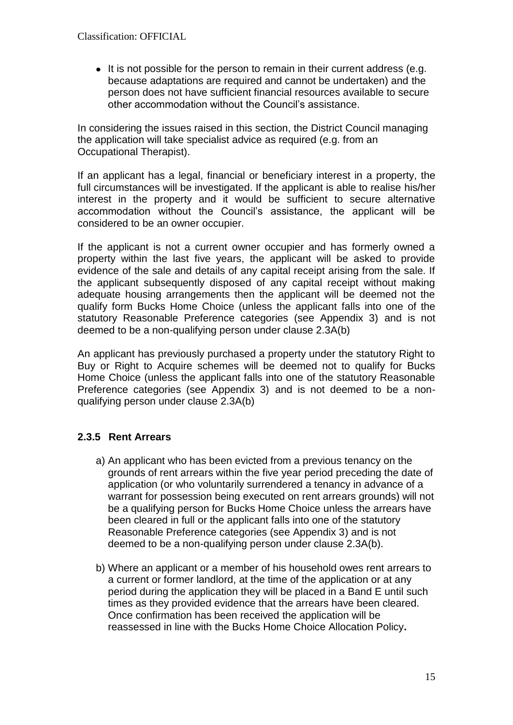• It is not possible for the person to remain in their current address (e.g. because adaptations are required and cannot be undertaken) and the person does not have sufficient financial resources available to secure other accommodation without the Council's assistance.

In considering the issues raised in this section, the District Council managing the application will take specialist advice as required (e.g. from an Occupational Therapist).

If an applicant has a legal, financial or beneficiary interest in a property, the full circumstances will be investigated. If the applicant is able to realise his/her interest in the property and it would be sufficient to secure alternative accommodation without the Council's assistance, the applicant will be considered to be an owner occupier.

If the applicant is not a current owner occupier and has formerly owned a property within the last five years, the applicant will be asked to provide evidence of the sale and details of any capital receipt arising from the sale. If the applicant subsequently disposed of any capital receipt without making adequate housing arrangements then the applicant will be deemed not the qualify form Bucks Home Choice (unless the applicant falls into one of the statutory Reasonable Preference categories (see Appendix 3) and is not deemed to be a non-qualifying person under clause 2.3A(b)

An applicant has previously purchased a property under the statutory Right to Buy or Right to Acquire schemes will be deemed not to qualify for Bucks Home Choice (unless the applicant falls into one of the statutory Reasonable Preference categories (see Appendix 3) and is not deemed to be a nonqualifying person under clause 2.3A(b)

## **2.3.5 Rent Arrears**

- a) An applicant who has been evicted from a previous tenancy on the grounds of rent arrears within the five year period preceding the date of application (or who voluntarily surrendered a tenancy in advance of a warrant for possession being executed on rent arrears grounds) will not be a qualifying person for Bucks Home Choice unless the arrears have been cleared in full or the applicant falls into one of the statutory Reasonable Preference categories (see Appendix 3) and is not deemed to be a non-qualifying person under clause 2.3A(b).
- b) Where an applicant or a member of his household owes rent arrears to a current or former landlord, at the time of the application or at any period during the application they will be placed in a Band E until such times as they provided evidence that the arrears have been cleared. Once confirmation has been received the application will be reassessed in line with the Bucks Home Choice Allocation Policy**.**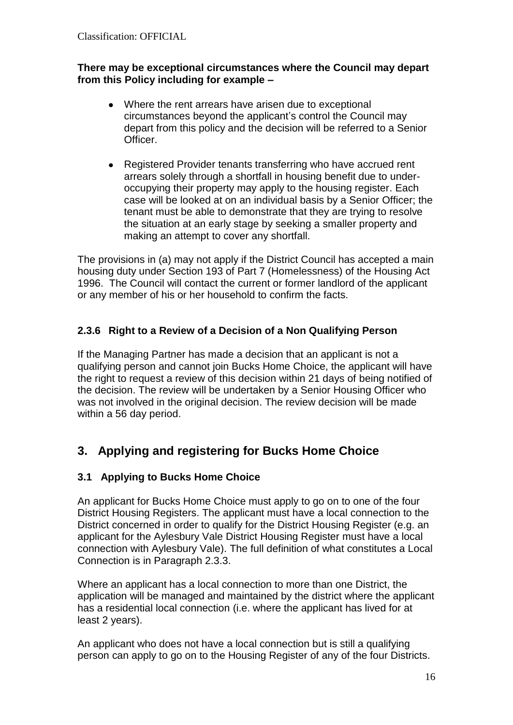#### **There may be exceptional circumstances where the Council may depart from this Policy including for example –**

- Where the rent arrears have arisen due to exceptional circumstances beyond the applicant's control the Council may depart from this policy and the decision will be referred to a Senior Officer.
- Registered Provider tenants transferring who have accrued rent arrears solely through a shortfall in housing benefit due to underoccupying their property may apply to the housing register. Each case will be looked at on an individual basis by a Senior Officer; the tenant must be able to demonstrate that they are trying to resolve the situation at an early stage by seeking a smaller property and making an attempt to cover any shortfall.

The provisions in (a) may not apply if the District Council has accepted a main housing duty under Section 193 of Part 7 (Homelessness) of the Housing Act 1996. The Council will contact the current or former landlord of the applicant or any member of his or her household to confirm the facts.

# **2.3.6 Right to a Review of a Decision of a Non Qualifying Person**

If the Managing Partner has made a decision that an applicant is not a qualifying person and cannot join Bucks Home Choice, the applicant will have the right to request a review of this decision within 21 days of being notified of the decision. The review will be undertaken by a Senior Housing Officer who was not involved in the original decision. The review decision will be made within a 56 day period.

# **3. Applying and registering for Bucks Home Choice**

## **3.1 Applying to Bucks Home Choice**

An applicant for Bucks Home Choice must apply to go on to one of the four District Housing Registers. The applicant must have a local connection to the District concerned in order to qualify for the District Housing Register (e.g. an applicant for the Aylesbury Vale District Housing Register must have a local connection with Aylesbury Vale). The full definition of what constitutes a Local Connection is in Paragraph 2.3.3.

Where an applicant has a local connection to more than one District, the application will be managed and maintained by the district where the applicant has a residential local connection (i.e. where the applicant has lived for at least 2 years).

An applicant who does not have a local connection but is still a qualifying person can apply to go on to the Housing Register of any of the four Districts.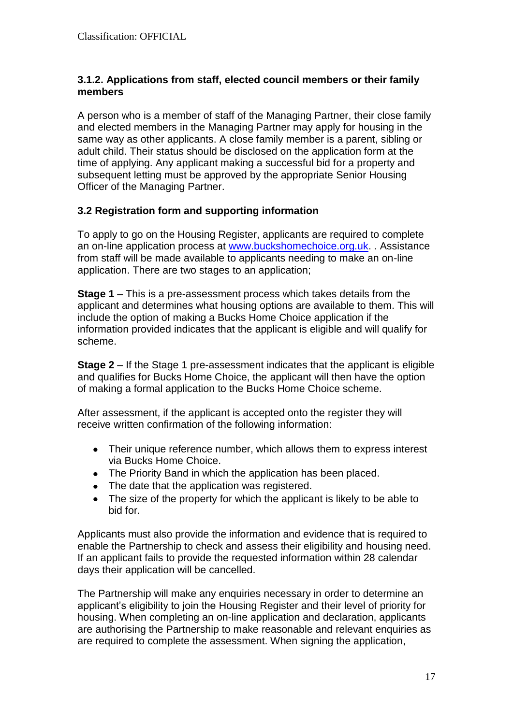#### **3.1.2. Applications from staff, elected council members or their family members**

A person who is a member of staff of the Managing Partner, their close family and elected members in the Managing Partner may apply for housing in the same way as other applicants. A close family member is a parent, sibling or adult child. Their status should be disclosed on the application form at the time of applying. Any applicant making a successful bid for a property and subsequent letting must be approved by the appropriate Senior Housing Officer of the Managing Partner.

## **3.2 Registration form and supporting information**

To apply to go on the Housing Register, applicants are required to complete an on-line application process at [www.buckshomechoice.org.uk.](http://www.buckshomechoice.org.uk/) . Assistance from staff will be made available to applicants needing to make an on-line application. There are two stages to an application;

**Stage 1** – This is a pre-assessment process which takes details from the applicant and determines what housing options are available to them. This will include the option of making a Bucks Home Choice application if the information provided indicates that the applicant is eligible and will qualify for scheme.

**Stage 2** – If the Stage 1 pre-assessment indicates that the applicant is eligible and qualifies for Bucks Home Choice, the applicant will then have the option of making a formal application to the Bucks Home Choice scheme.

After assessment, if the applicant is accepted onto the register they will receive written confirmation of the following information:

- Their unique reference number, which allows them to express interest via Bucks Home Choice.
- The Priority Band in which the application has been placed.
- The date that the application was registered.
- The size of the property for which the applicant is likely to be able to  $\bullet$ bid for.

Applicants must also provide the information and evidence that is required to enable the Partnership to check and assess their eligibility and housing need. If an applicant fails to provide the requested information within 28 calendar days their application will be cancelled.

The Partnership will make any enquiries necessary in order to determine an applicant's eligibility to join the Housing Register and their level of priority for housing. When completing an on-line application and declaration, applicants are authorising the Partnership to make reasonable and relevant enquiries as are required to complete the assessment. When signing the application,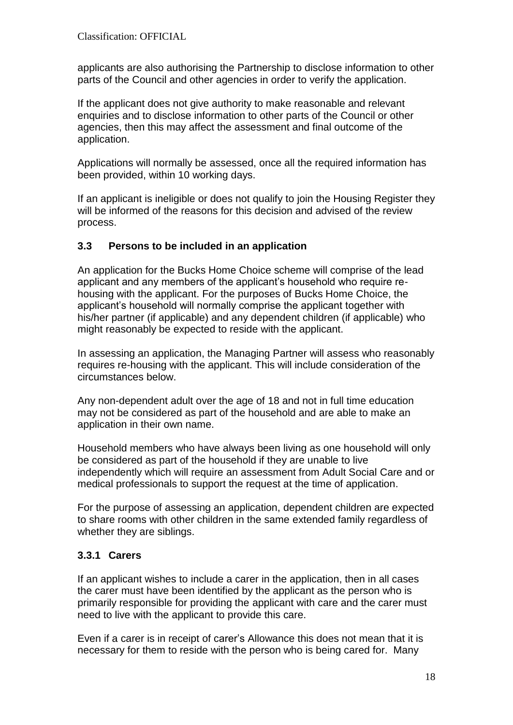applicants are also authorising the Partnership to disclose information to other parts of the Council and other agencies in order to verify the application.

If the applicant does not give authority to make reasonable and relevant enquiries and to disclose information to other parts of the Council or other agencies, then this may affect the assessment and final outcome of the application.

Applications will normally be assessed, once all the required information has been provided, within 10 working days.

If an applicant is ineligible or does not qualify to join the Housing Register they will be informed of the reasons for this decision and advised of the review process.

# **3.3 Persons to be included in an application**

An application for the Bucks Home Choice scheme will comprise of the lead applicant and any members of the applicant's household who require rehousing with the applicant. For the purposes of Bucks Home Choice, the applicant's household will normally comprise the applicant together with his/her partner (if applicable) and any dependent children (if applicable) who might reasonably be expected to reside with the applicant.

In assessing an application, the Managing Partner will assess who reasonably requires re-housing with the applicant. This will include consideration of the circumstances below.

Any non-dependent adult over the age of 18 and not in full time education may not be considered as part of the household and are able to make an application in their own name.

Household members who have always been living as one household will only be considered as part of the household if they are unable to live independently which will require an assessment from Adult Social Care and or medical professionals to support the request at the time of application.

For the purpose of assessing an application, dependent children are expected to share rooms with other children in the same extended family regardless of whether they are siblings.

# **3.3.1 Carers**

If an applicant wishes to include a carer in the application, then in all cases the carer must have been identified by the applicant as the person who is primarily responsible for providing the applicant with care and the carer must need to live with the applicant to provide this care.

Even if a carer is in receipt of carer's Allowance this does not mean that it is necessary for them to reside with the person who is being cared for. Many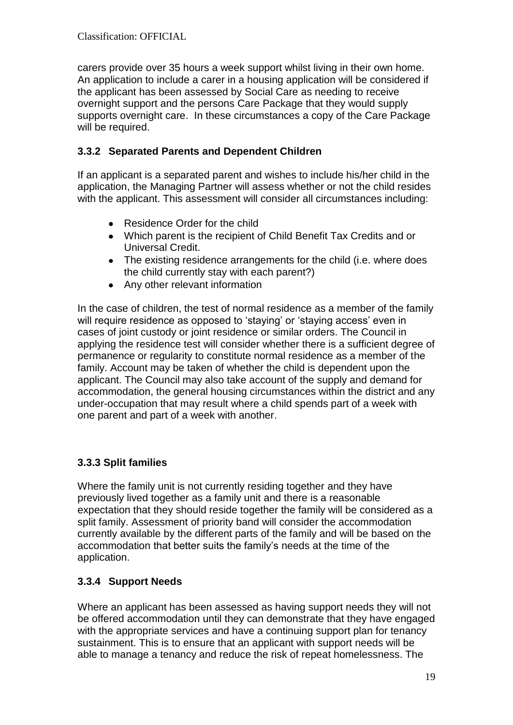carers provide over 35 hours a week support whilst living in their own home. An application to include a carer in a housing application will be considered if the applicant has been assessed by Social Care as needing to receive overnight support and the persons Care Package that they would supply supports overnight care. In these circumstances a copy of the Care Package will be required.

# **3.3.2 Separated Parents and Dependent Children**

If an applicant is a separated parent and wishes to include his/her child in the application, the Managing Partner will assess whether or not the child resides with the applicant. This assessment will consider all circumstances including:

- Residence Order for the child
- Which parent is the recipient of Child Benefit Tax Credits and or Universal Credit.
- The existing residence arrangements for the child (i.e. where does the child currently stay with each parent?)
- Any other relevant information

In the case of children, the test of normal residence as a member of the family will require residence as opposed to 'staying' or 'staying access' even in cases of joint custody or joint residence or similar orders. The Council in applying the residence test will consider whether there is a sufficient degree of permanence or regularity to constitute normal residence as a member of the family. Account may be taken of whether the child is dependent upon the applicant. The Council may also take account of the supply and demand for accommodation, the general housing circumstances within the district and any under-occupation that may result where a child spends part of a week with one parent and part of a week with another.

# **3.3.3 Split families**

Where the family unit is not currently residing together and they have previously lived together as a family unit and there is a reasonable expectation that they should reside together the family will be considered as a split family. Assessment of priority band will consider the accommodation currently available by the different parts of the family and will be based on the accommodation that better suits the family's needs at the time of the application.

# **3.3.4 Support Needs**

Where an applicant has been assessed as having support needs they will not be offered accommodation until they can demonstrate that they have engaged with the appropriate services and have a continuing support plan for tenancy sustainment. This is to ensure that an applicant with support needs will be able to manage a tenancy and reduce the risk of repeat homelessness. The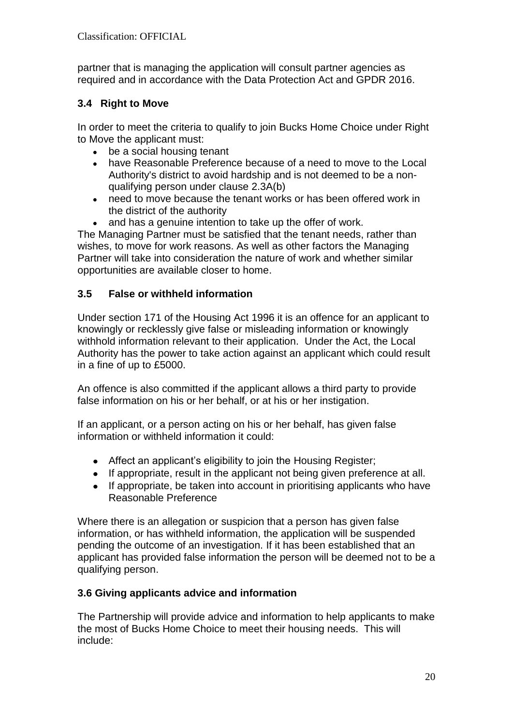partner that is managing the application will consult partner agencies as required and in accordance with the Data Protection Act and GPDR 2016.

# **3.4 Right to Move**

In order to meet the criteria to qualify to join Bucks Home Choice under Right to Move the applicant must:

- $\bullet$ be a social housing tenant
- have Reasonable Preference because of a need to move to the Local Authority's district to avoid hardship and is not deemed to be a nonqualifying person under clause 2.3A(b)
- need to move because the tenant works or has been offered work in  $\bullet$ the district of the authority
- and has a genuine intention to take up the offer of work.

The Managing Partner must be satisfied that the tenant needs, rather than wishes, to move for work reasons. As well as other factors the Managing Partner will take into consideration the nature of work and whether similar opportunities are available closer to home.

# **3.5 False or withheld information**

Under section 171 of the Housing Act 1996 it is an offence for an applicant to knowingly or recklessly give false or misleading information or knowingly withhold information relevant to their application. Under the Act, the Local Authority has the power to take action against an applicant which could result in a fine of up to £5000.

An offence is also committed if the applicant allows a third party to provide false information on his or her behalf, or at his or her instigation.

If an applicant, or a person acting on his or her behalf, has given false information or withheld information it could:

- Affect an applicant's eligibility to join the Housing Register:
- If appropriate, result in the applicant not being given preference at all.
- If appropriate, be taken into account in prioritising applicants who have  $\bullet$ Reasonable Preference

Where there is an allegation or suspicion that a person has given false information, or has withheld information, the application will be suspended pending the outcome of an investigation. If it has been established that an applicant has provided false information the person will be deemed not to be a qualifying person.

## **3.6 Giving applicants advice and information**

The Partnership will provide advice and information to help applicants to make the most of Bucks Home Choice to meet their housing needs. This will include: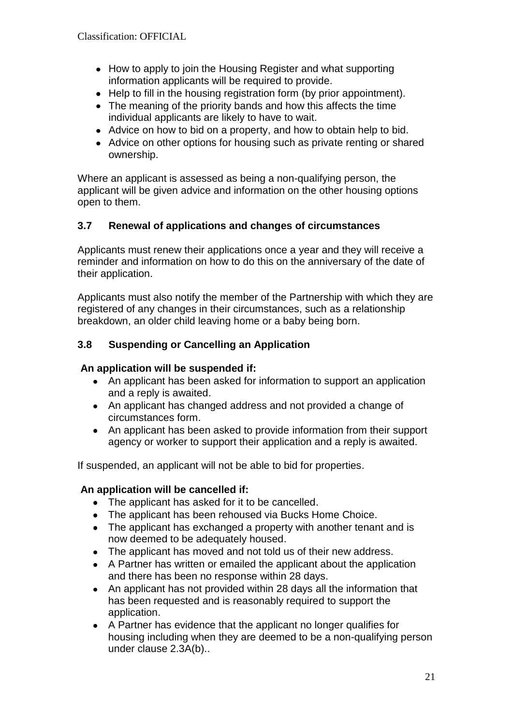- How to apply to join the Housing Register and what supporting information applicants will be required to provide.
- Help to fill in the housing registration form (by prior appointment).
- The meaning of the priority bands and how this affects the time individual applicants are likely to have to wait.
- Advice on how to bid on a property, and how to obtain help to bid.
- Advice on other options for housing such as private renting or shared ownership.

Where an applicant is assessed as being a non-qualifying person, the applicant will be given advice and information on the other housing options open to them.

# **3.7 Renewal of applications and changes of circumstances**

Applicants must renew their applications once a year and they will receive a reminder and information on how to do this on the anniversary of the date of their application.

Applicants must also notify the member of the Partnership with which they are registered of any changes in their circumstances, such as a relationship breakdown, an older child leaving home or a baby being born.

# **3.8 Suspending or Cancelling an Application**

## **An application will be suspended if:**

- An applicant has been asked for information to support an application and a reply is awaited.
- An applicant has changed address and not provided a change of circumstances form.
- $\bullet$ An applicant has been asked to provide information from their support agency or worker to support their application and a reply is awaited.

If suspended, an applicant will not be able to bid for properties.

## **An application will be cancelled if:**

- The applicant has asked for it to be cancelled.
- The applicant has been rehoused via Bucks Home Choice.
- The applicant has exchanged a property with another tenant and is now deemed to be adequately housed.
- The applicant has moved and not told us of their new address.  $\bullet$
- A Partner has written or emailed the applicant about the application and there has been no response within 28 days.
- An applicant has not provided within 28 days all the information that  $\bullet$ has been requested and is reasonably required to support the application.
- A Partner has evidence that the applicant no longer qualifies for housing including when they are deemed to be a non-qualifying person under clause 2.3A(b)..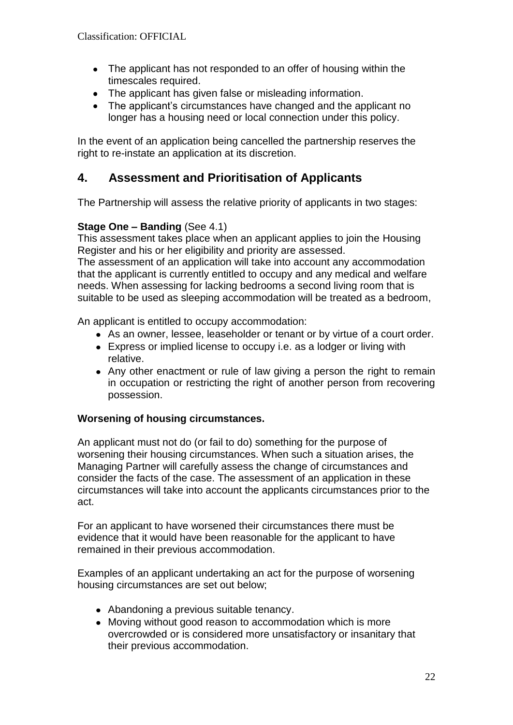- The applicant has not responded to an offer of housing within the timescales required.
- The applicant has given false or misleading information.
- The applicant's circumstances have changed and the applicant no longer has a housing need or local connection under this policy.

In the event of an application being cancelled the partnership reserves the right to re-instate an application at its discretion.

# **4. Assessment and Prioritisation of Applicants**

The Partnership will assess the relative priority of applicants in two stages:

# **Stage One – Banding** (See 4.1)

This assessment takes place when an applicant applies to join the Housing Register and his or her eligibility and priority are assessed.

The assessment of an application will take into account any accommodation that the applicant is currently entitled to occupy and any medical and welfare needs. When assessing for lacking bedrooms a second living room that is suitable to be used as sleeping accommodation will be treated as a bedroom,

An applicant is entitled to occupy accommodation:

- As an owner, lessee, leaseholder or tenant or by virtue of a court order.
- Express or implied license to occupy i.e. as a lodger or living with relative.
- Any other enactment or rule of law giving a person the right to remain in occupation or restricting the right of another person from recovering possession.

## **Worsening of housing circumstances.**

An applicant must not do (or fail to do) something for the purpose of worsening their housing circumstances. When such a situation arises, the Managing Partner will carefully assess the change of circumstances and consider the facts of the case. The assessment of an application in these circumstances will take into account the applicants circumstances prior to the act.

For an applicant to have worsened their circumstances there must be evidence that it would have been reasonable for the applicant to have remained in their previous accommodation.

Examples of an applicant undertaking an act for the purpose of worsening housing circumstances are set out below;

- Abandoning a previous suitable tenancy.
- Moving without good reason to accommodation which is more overcrowded or is considered more unsatisfactory or insanitary that their previous accommodation.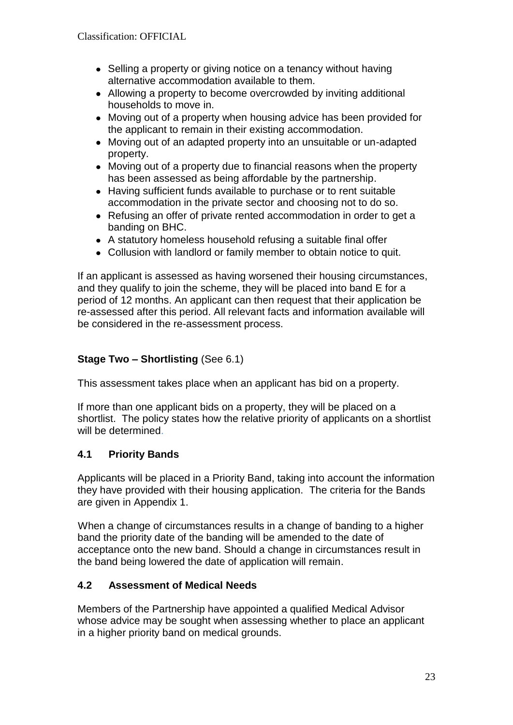- Selling a property or giving notice on a tenancy without having alternative accommodation available to them.
- Allowing a property to become overcrowded by inviting additional households to move in.
- Moving out of a property when housing advice has been provided for the applicant to remain in their existing accommodation.
- Moving out of an adapted property into an unsuitable or un-adapted property.
- Moving out of a property due to financial reasons when the property has been assessed as being affordable by the partnership.
- Having sufficient funds available to purchase or to rent suitable accommodation in the private sector and choosing not to do so.
- Refusing an offer of private rented accommodation in order to get a banding on BHC.
- A statutory homeless household refusing a suitable final offer
- Collusion with landlord or family member to obtain notice to quit.

If an applicant is assessed as having worsened their housing circumstances, and they qualify to join the scheme, they will be placed into band E for a period of 12 months. An applicant can then request that their application be re-assessed after this period. All relevant facts and information available will be considered in the re-assessment process.

# **Stage Two – Shortlisting** (See 6.1)

This assessment takes place when an applicant has bid on a property.

If more than one applicant bids on a property, they will be placed on a shortlist. The policy states how the relative priority of applicants on a shortlist will be determined.

# **4.1 Priority Bands**

Applicants will be placed in a Priority Band, taking into account the information they have provided with their housing application. The criteria for the Bands are given in Appendix 1.

 When a change of circumstances results in a change of banding to a higher band the priority date of the banding will be amended to the date of acceptance onto the new band. Should a change in circumstances result in the band being lowered the date of application will remain.

# **4.2 Assessment of Medical Needs**

Members of the Partnership have appointed a qualified Medical Advisor whose advice may be sought when assessing whether to place an applicant in a higher priority band on medical grounds.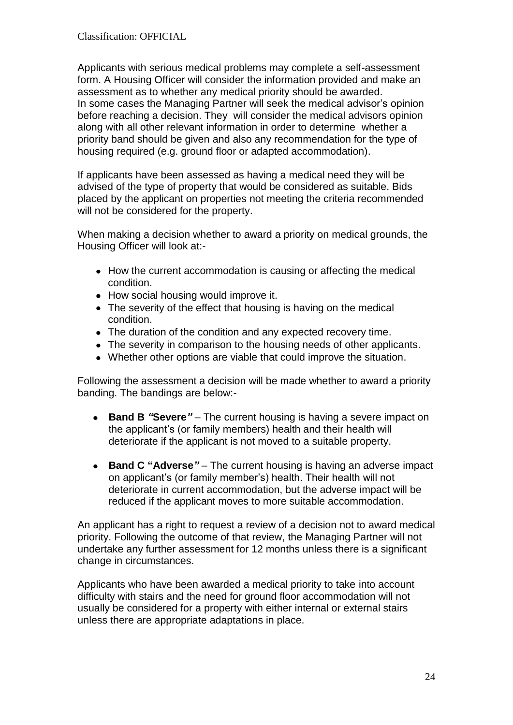Applicants with serious medical problems may complete a self-assessment form. A Housing Officer will consider the information provided and make an assessment as to whether any medical priority should be awarded. In some cases the Managing Partner will seek the medical advisor's opinion before reaching a decision. They will consider the medical advisors opinion along with all other relevant information in order to determine whether a priority band should be given and also any recommendation for the type of housing required (e.g. ground floor or adapted accommodation).

If applicants have been assessed as having a medical need they will be advised of the type of property that would be considered as suitable. Bids placed by the applicant on properties not meeting the criteria recommended will not be considered for the property.

When making a decision whether to award a priority on medical grounds, the Housing Officer will look at:-

- How the current accommodation is causing or affecting the medical condition.
- How social housing would improve it.
- The severity of the effect that housing is having on the medical condition.
- The duration of the condition and any expected recovery time.
- The severity in comparison to the housing needs of other applicants.
- Whether other options are viable that could improve the situation.

Following the assessment a decision will be made whether to award a priority banding. The bandings are below:-

- **Band B** *"***Severe***" –* The current housing is having a severe impact on  $\bullet$ the applicant's (or family members) health and their health will deteriorate if the applicant is not moved to a suitable property.
- $\bullet$ **Band C "Adverse***"* – The current housing is having an adverse impact on applicant's (or family member's) health. Their health will not deteriorate in current accommodation, but the adverse impact will be reduced if the applicant moves to more suitable accommodation.

An applicant has a right to request a review of a decision not to award medical priority. Following the outcome of that review, the Managing Partner will not undertake any further assessment for 12 months unless there is a significant change in circumstances.

Applicants who have been awarded a medical priority to take into account difficulty with stairs and the need for ground floor accommodation will not usually be considered for a property with either internal or external stairs unless there are appropriate adaptations in place.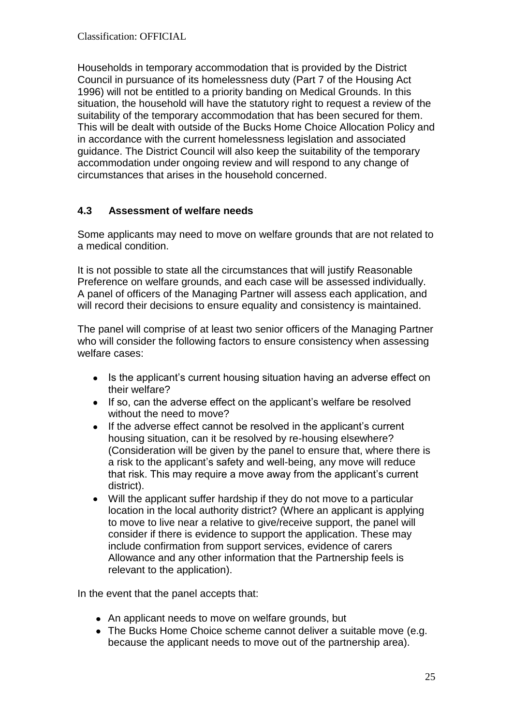Households in temporary accommodation that is provided by the District Council in pursuance of its homelessness duty (Part 7 of the Housing Act 1996) will not be entitled to a priority banding on Medical Grounds. In this situation, the household will have the statutory right to request a review of the suitability of the temporary accommodation that has been secured for them. This will be dealt with outside of the Bucks Home Choice Allocation Policy and in accordance with the current homelessness legislation and associated guidance. The District Council will also keep the suitability of the temporary accommodation under ongoing review and will respond to any change of circumstances that arises in the household concerned.

## **4.3 Assessment of welfare needs**

Some applicants may need to move on welfare grounds that are not related to a medical condition.

It is not possible to state all the circumstances that will justify Reasonable Preference on welfare grounds, and each case will be assessed individually. A panel of officers of the Managing Partner will assess each application, and will record their decisions to ensure equality and consistency is maintained.

The panel will comprise of at least two senior officers of the Managing Partner who will consider the following factors to ensure consistency when assessing welfare cases:

- Is the applicant's current housing situation having an adverse effect on their welfare?
- If so, can the adverse effect on the applicant's welfare be resolved without the need to move?
- If the adverse effect cannot be resolved in the applicant's current  $\bullet$ housing situation, can it be resolved by re-housing elsewhere? (Consideration will be given by the panel to ensure that, where there is a risk to the applicant's safety and well-being, any move will reduce that risk. This may require a move away from the applicant's current district).
- Will the applicant suffer hardship if they do not move to a particular location in the local authority district? (Where an applicant is applying to move to live near a relative to give/receive support, the panel will consider if there is evidence to support the application. These may include confirmation from support services, evidence of carers Allowance and any other information that the Partnership feels is relevant to the application).

In the event that the panel accepts that:

- An applicant needs to move on welfare grounds, but
- The Bucks Home Choice scheme cannot deliver a suitable move (e.g. because the applicant needs to move out of the partnership area).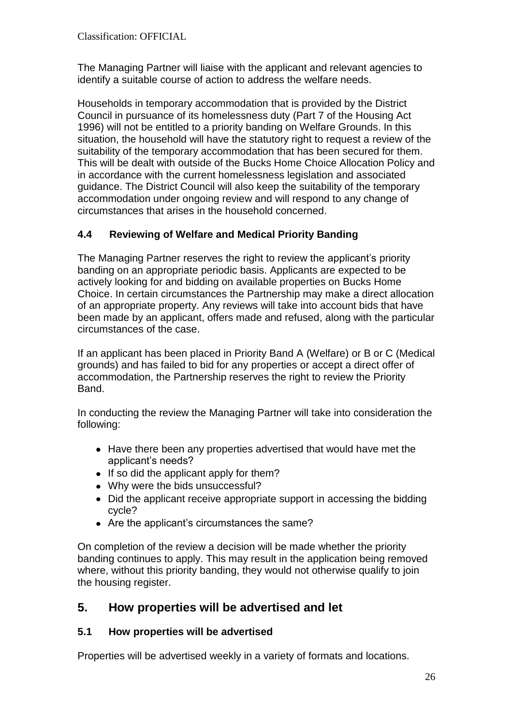The Managing Partner will liaise with the applicant and relevant agencies to identify a suitable course of action to address the welfare needs.

Households in temporary accommodation that is provided by the District Council in pursuance of its homelessness duty (Part 7 of the Housing Act 1996) will not be entitled to a priority banding on Welfare Grounds. In this situation, the household will have the statutory right to request a review of the suitability of the temporary accommodation that has been secured for them. This will be dealt with outside of the Bucks Home Choice Allocation Policy and in accordance with the current homelessness legislation and associated guidance. The District Council will also keep the suitability of the temporary accommodation under ongoing review and will respond to any change of circumstances that arises in the household concerned.

# **4.4 Reviewing of Welfare and Medical Priority Banding**

The Managing Partner reserves the right to review the applicant's priority banding on an appropriate periodic basis. Applicants are expected to be actively looking for and bidding on available properties on Bucks Home Choice. In certain circumstances the Partnership may make a direct allocation of an appropriate property. Any reviews will take into account bids that have been made by an applicant, offers made and refused, along with the particular circumstances of the case.

If an applicant has been placed in Priority Band A (Welfare) or B or C (Medical grounds) and has failed to bid for any properties or accept a direct offer of accommodation, the Partnership reserves the right to review the Priority Band.

In conducting the review the Managing Partner will take into consideration the following:

- Have there been any properties advertised that would have met the applicant's needs?
- If so did the applicant apply for them?
- Why were the bids unsuccessful?
- Did the applicant receive appropriate support in accessing the bidding cycle?
- Are the applicant's circumstances the same?

On completion of the review a decision will be made whether the priority banding continues to apply. This may result in the application being removed where, without this priority banding, they would not otherwise qualify to join the housing register.

# **5. How properties will be advertised and let**

## **5.1 How properties will be advertised**

Properties will be advertised weekly in a variety of formats and locations.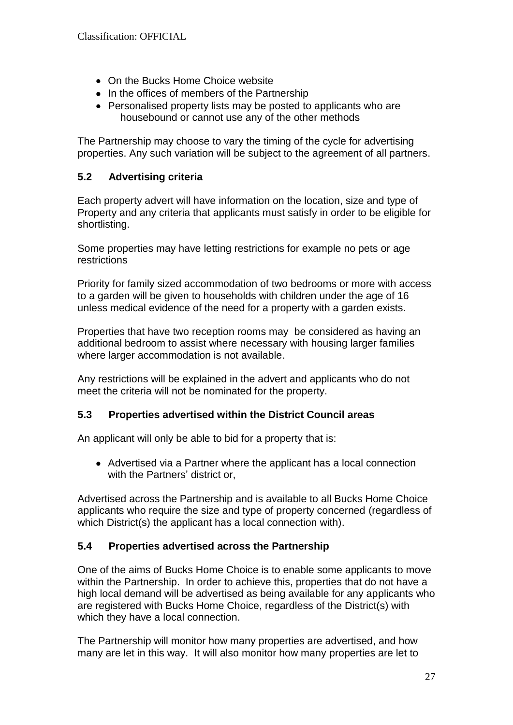- On the Bucks Home Choice website
- In the offices of members of the Partnership
- Personalised property lists may be posted to applicants who are housebound or cannot use any of the other methods

The Partnership may choose to vary the timing of the cycle for advertising properties. Any such variation will be subject to the agreement of all partners.

# **5.2 Advertising criteria**

Each property advert will have information on the location, size and type of Property and any criteria that applicants must satisfy in order to be eligible for shortlisting.

Some properties may have letting restrictions for example no pets or age restrictions

Priority for family sized accommodation of two bedrooms or more with access to a garden will be given to households with children under the age of 16 unless medical evidence of the need for a property with a garden exists.

Properties that have two reception rooms may be considered as having an additional bedroom to assist where necessary with housing larger families where larger accommodation is not available.

Any restrictions will be explained in the advert and applicants who do not meet the criteria will not be nominated for the property.

## **5.3 Properties advertised within the District Council areas**

An applicant will only be able to bid for a property that is:

Advertised via a Partner where the applicant has a local connection with the Partners' district or,

Advertised across the Partnership and is available to all Bucks Home Choice applicants who require the size and type of property concerned (regardless of which District(s) the applicant has a local connection with).

## **5.4 Properties advertised across the Partnership**

One of the aims of Bucks Home Choice is to enable some applicants to move within the Partnership. In order to achieve this, properties that do not have a high local demand will be advertised as being available for any applicants who are registered with Bucks Home Choice, regardless of the District(s) with which they have a local connection.

The Partnership will monitor how many properties are advertised, and how many are let in this way. It will also monitor how many properties are let to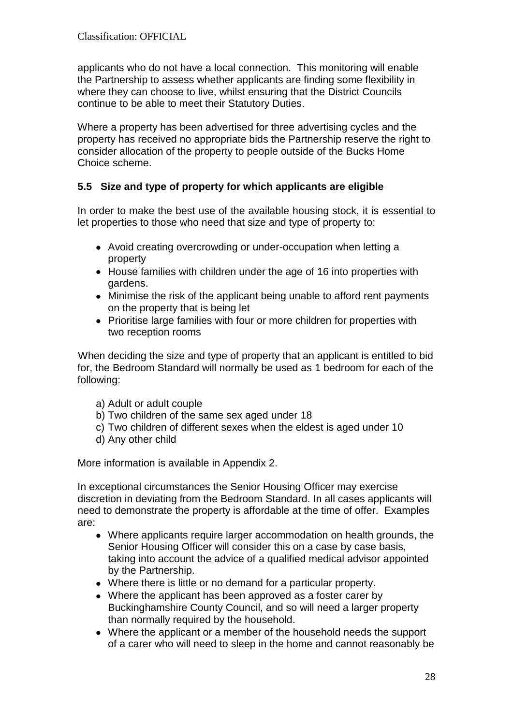applicants who do not have a local connection. This monitoring will enable the Partnership to assess whether applicants are finding some flexibility in where they can choose to live, whilst ensuring that the District Councils continue to be able to meet their Statutory Duties.

Where a property has been advertised for three advertising cycles and the property has received no appropriate bids the Partnership reserve the right to consider allocation of the property to people outside of the Bucks Home Choice scheme.

# **5.5 Size and type of property for which applicants are eligible**

In order to make the best use of the available housing stock, it is essential to let properties to those who need that size and type of property to:

- Avoid creating overcrowding or under-occupation when letting a property
- House families with children under the age of 16 into properties with gardens.
- Minimise the risk of the applicant being unable to afford rent payments on the property that is being let
- Prioritise large families with four or more children for properties with two reception rooms

When deciding the size and type of property that an applicant is entitled to bid for, the Bedroom Standard will normally be used as 1 bedroom for each of the following:

- a) Adult or adult couple
- b) Two children of the same sex aged under 18
- c) Two children of different sexes when the eldest is aged under 10
- d) Any other child

More information is available in Appendix 2.

In exceptional circumstances the Senior Housing Officer may exercise discretion in deviating from the Bedroom Standard. In all cases applicants will need to demonstrate the property is affordable at the time of offer. Examples are:

- Where applicants require larger accommodation on health grounds, the Senior Housing Officer will consider this on a case by case basis, taking into account the advice of a qualified medical advisor appointed by the Partnership.
- Where there is little or no demand for a particular property.
- Where the applicant has been approved as a foster carer by Buckinghamshire County Council, and so will need a larger property than normally required by the household.
- Where the applicant or a member of the household needs the support of a carer who will need to sleep in the home and cannot reasonably be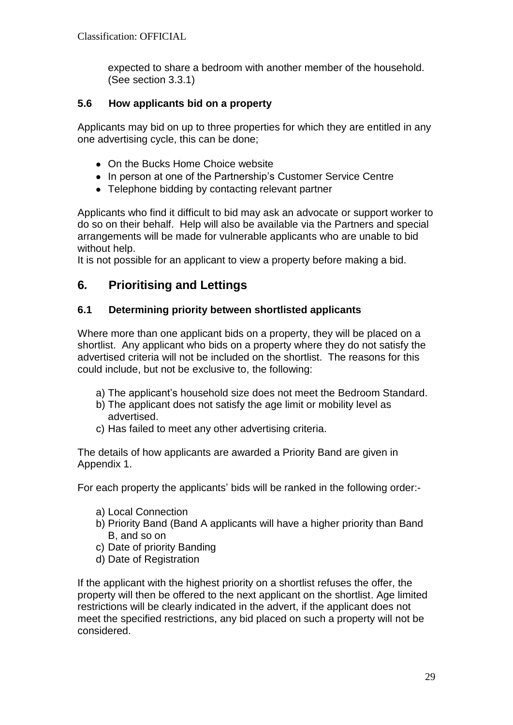expected to share a bedroom with another member of the household. (See section 3.3.1)

# **5.6 How applicants bid on a property**

Applicants may bid on up to three properties for which they are entitled in any one advertising cycle, this can be done;

- On the Bucks Home Choice website
- In person at one of the Partnership's Customer Service Centre
- Telephone bidding by contacting relevant partner

Applicants who find it difficult to bid may ask an advocate or support worker to do so on their behalf. Help will also be available via the Partners and special arrangements will be made for vulnerable applicants who are unable to bid without help.

It is not possible for an applicant to view a property before making a bid.

# **6***.* **Prioritising and Lettings**

# **6.1 Determining priority between shortlisted applicants**

Where more than one applicant bids on a property, they will be placed on a shortlist. Any applicant who bids on a property where they do not satisfy the advertised criteria will not be included on the shortlist. The reasons for this could include, but not be exclusive to, the following:

- a) The applicant's household size does not meet the Bedroom Standard.
- b) The applicant does not satisfy the age limit or mobility level as advertised.
- c) Has failed to meet any other advertising criteria.

The details of how applicants are awarded a Priority Band are given in Appendix 1.

For each property the applicants' bids will be ranked in the following order:-

- a) Local Connection
- b) Priority Band (Band A applicants will have a higher priority than Band B, and so on
- c) Date of priority Banding
- d) Date of Registration

If the applicant with the highest priority on a shortlist refuses the offer, the property will then be offered to the next applicant on the shortlist. Age limited restrictions will be clearly indicated in the advert, if the applicant does not meet the specified restrictions, any bid placed on such a property will not be considered.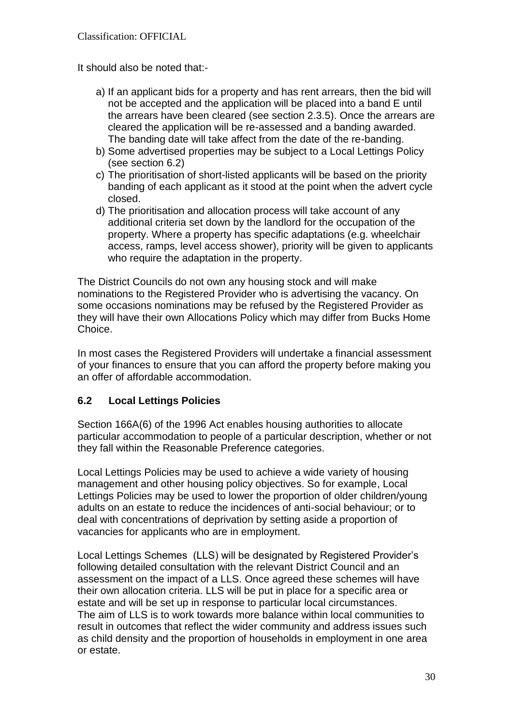It should also be noted that:-

- a) If an applicant bids for a property and has rent arrears, then the bid will not be accepted and the application will be placed into a band E until the arrears have been cleared (see section 2.3.5). Once the arrears are cleared the application will be re-assessed and a banding awarded. The banding date will take affect from the date of the re-banding.
- b) Some advertised properties may be subject to a Local Lettings Policy (see section 6.2)
- c) The prioritisation of short-listed applicants will be based on the priority banding of each applicant as it stood at the point when the advert cycle closed.
- d) The prioritisation and allocation process will take account of any additional criteria set down by the landlord for the occupation of the property. Where a property has specific adaptations (e.g. wheelchair access, ramps, level access shower), priority will be given to applicants who require the adaptation in the property.

The District Councils do not own any housing stock and will make nominations to the Registered Provider who is advertising the vacancy. On some occasions nominations may be refused by the Registered Provider as they will have their own Allocations Policy which may differ from Bucks Home Choice.

In most cases the Registered Providers will undertake a financial assessment of your finances to ensure that you can afford the property before making you an offer of affordable accommodation.

## **6.2 Local Lettings Policies**

Section 166A(6) of the 1996 Act enables housing authorities to allocate particular accommodation to people of a particular description, whether or not they fall within the Reasonable Preference categories.

Local Lettings Policies may be used to achieve a wide variety of housing management and other housing policy objectives. So for example, Local Lettings Policies may be used to lower the proportion of older children/young adults on an estate to reduce the incidences of anti-social behaviour; or to deal with concentrations of deprivation by setting aside a proportion of vacancies for applicants who are in employment.

Local Lettings Schemes (LLS) will be designated by Registered Provider's following detailed consultation with the relevant District Council and an assessment on the impact of a LLS. Once agreed these schemes will have their own allocation criteria. LLS will be put in place for a specific area or estate and will be set up in response to particular local circumstances. The aim of LLS is to work towards more balance within local communities to result in outcomes that reflect the wider community and address issues such as child density and the proportion of households in employment in one area or estate.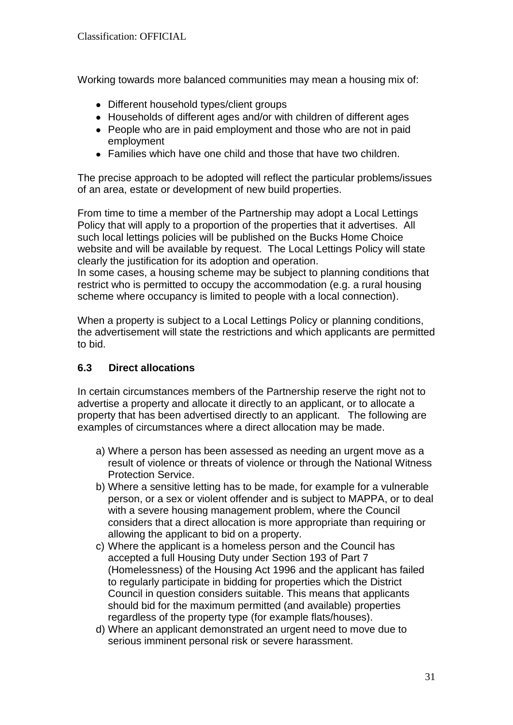Working towards more balanced communities may mean a housing mix of:

- Different household types/client groups
- Households of different ages and/or with children of different ages
- People who are in paid employment and those who are not in paid employment
- Families which have one child and those that have two children.

The precise approach to be adopted will reflect the particular problems/issues of an area, estate or development of new build properties.

From time to time a member of the Partnership may adopt a Local Lettings Policy that will apply to a proportion of the properties that it advertises. All such local lettings policies will be published on the Bucks Home Choice website and will be available by request. The Local Lettings Policy will state clearly the justification for its adoption and operation.

In some cases, a housing scheme may be subject to planning conditions that restrict who is permitted to occupy the accommodation (e.g. a rural housing scheme where occupancy is limited to people with a local connection).

When a property is subject to a Local Lettings Policy or planning conditions, the advertisement will state the restrictions and which applicants are permitted to bid.

## **6.3 Direct allocations**

In certain circumstances members of the Partnership reserve the right not to advertise a property and allocate it directly to an applicant, or to allocate a property that has been advertised directly to an applicant. The following are examples of circumstances where a direct allocation may be made.

- a) Where a person has been assessed as needing an urgent move as a result of violence or threats of violence or through the National Witness Protection Service.
- b) Where a sensitive letting has to be made, for example for a vulnerable person, or a sex or violent offender and is subject to MAPPA, or to deal with a severe housing management problem, where the Council considers that a direct allocation is more appropriate than requiring or allowing the applicant to bid on a property.
- c) Where the applicant is a homeless person and the Council has accepted a full Housing Duty under Section 193 of Part 7 (Homelessness) of the Housing Act 1996 and the applicant has failed to regularly participate in bidding for properties which the District Council in question considers suitable. This means that applicants should bid for the maximum permitted (and available) properties regardless of the property type (for example flats/houses).
- d) Where an applicant demonstrated an urgent need to move due to serious imminent personal risk or severe harassment.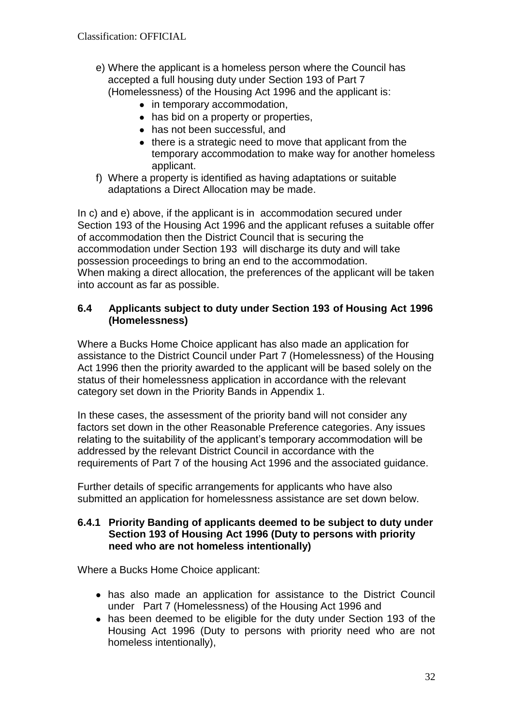- e) Where the applicant is a homeless person where the Council has accepted a full housing duty under Section 193 of Part 7 (Homelessness) of the Housing Act 1996 and the applicant is:
	- in temporary accommodation,
	- has bid on a property or properties,
	- has not been successful, and
	- there is a strategic need to move that applicant from the temporary accommodation to make way for another homeless applicant.
- f) Where a property is identified as having adaptations or suitable adaptations a Direct Allocation may be made.

In c) and e) above, if the applicant is in accommodation secured under Section 193 of the Housing Act 1996 and the applicant refuses a suitable offer of accommodation then the District Council that is securing the accommodation under Section 193 will discharge its duty and will take possession proceedings to bring an end to the accommodation. When making a direct allocation, the preferences of the applicant will be taken into account as far as possible.

#### **6.4 Applicants subject to duty under Section 193 of Housing Act 1996 (Homelessness)**

Where a Bucks Home Choice applicant has also made an application for assistance to the District Council under Part 7 (Homelessness) of the Housing Act 1996 then the priority awarded to the applicant will be based solely on the status of their homelessness application in accordance with the relevant category set down in the Priority Bands in Appendix 1.

In these cases, the assessment of the priority band will not consider any factors set down in the other Reasonable Preference categories. Any issues relating to the suitability of the applicant's temporary accommodation will be addressed by the relevant District Council in accordance with the requirements of Part 7 of the housing Act 1996 and the associated guidance.

Further details of specific arrangements for applicants who have also submitted an application for homelessness assistance are set down below.

#### **6.4.1 Priority Banding of applicants deemed to be subject to duty under Section 193 of Housing Act 1996 (Duty to persons with priority need who are not homeless intentionally)**

Where a Bucks Home Choice applicant:

- has also made an application for assistance to the District Council under Part 7 (Homelessness) of the Housing Act 1996 and
- has been deemed to be eligible for the duty under Section 193 of the Housing Act 1996 (Duty to persons with priority need who are not homeless intentionally),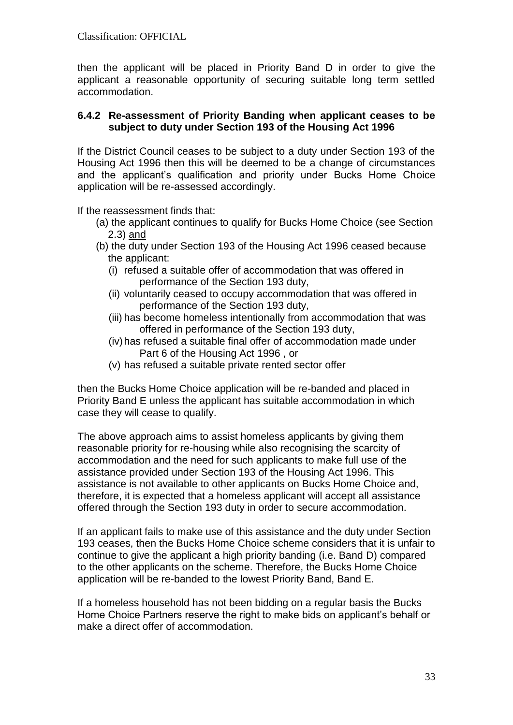then the applicant will be placed in Priority Band D in order to give the applicant a reasonable opportunity of securing suitable long term settled accommodation.

#### **6.4.2 Re-assessment of Priority Banding when applicant ceases to be subject to duty under Section 193 of the Housing Act 1996**

If the District Council ceases to be subject to a duty under Section 193 of the Housing Act 1996 then this will be deemed to be a change of circumstances and the applicant's qualification and priority under Bucks Home Choice application will be re-assessed accordingly.

If the reassessment finds that:

- (a) the applicant continues to qualify for Bucks Home Choice (see Section 2.3) and
- (b) the duty under Section 193 of the Housing Act 1996 ceased because the applicant:
	- (i) refused a suitable offer of accommodation that was offered in performance of the Section 193 duty,
	- (ii) voluntarily ceased to occupy accommodation that was offered in performance of the Section 193 duty,
	- (iii) has become homeless intentionally from accommodation that was offered in performance of the Section 193 duty,
	- (iv)has refused a suitable final offer of accommodation made under Part 6 of the Housing Act 1996 , or
	- (v) has refused a suitable private rented sector offer

then the Bucks Home Choice application will be re-banded and placed in Priority Band E unless the applicant has suitable accommodation in which case they will cease to qualify.

The above approach aims to assist homeless applicants by giving them reasonable priority for re-housing while also recognising the scarcity of accommodation and the need for such applicants to make full use of the assistance provided under Section 193 of the Housing Act 1996. This assistance is not available to other applicants on Bucks Home Choice and, therefore, it is expected that a homeless applicant will accept all assistance offered through the Section 193 duty in order to secure accommodation.

If an applicant fails to make use of this assistance and the duty under Section 193 ceases, then the Bucks Home Choice scheme considers that it is unfair to continue to give the applicant a high priority banding (i.e. Band D) compared to the other applicants on the scheme. Therefore, the Bucks Home Choice application will be re-banded to the lowest Priority Band, Band E.

If a homeless household has not been bidding on a regular basis the Bucks Home Choice Partners reserve the right to make bids on applicant's behalf or make a direct offer of accommodation.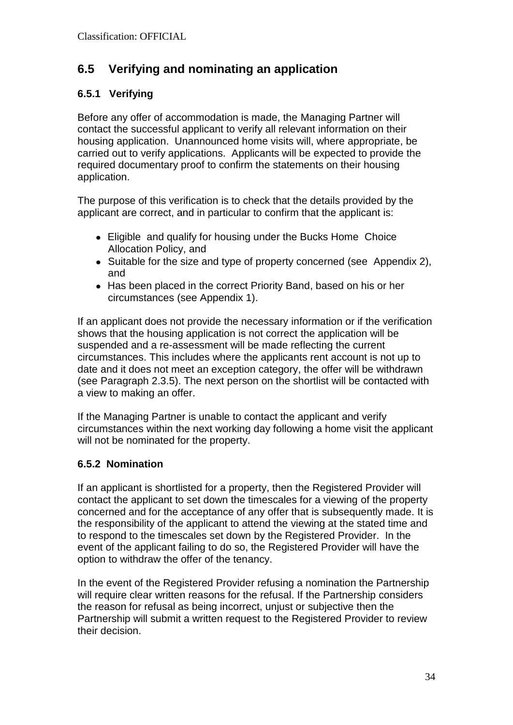# **6.5 Verifying and nominating an application**

# **6.5.1 Verifying**

Before any offer of accommodation is made, the Managing Partner will contact the successful applicant to verify all relevant information on their housing application. Unannounced home visits will, where appropriate, be carried out to verify applications. Applicants will be expected to provide the required documentary proof to confirm the statements on their housing application.

The purpose of this verification is to check that the details provided by the applicant are correct, and in particular to confirm that the applicant is:

- Eligible and qualify for housing under the Bucks Home Choice Allocation Policy, and
- Suitable for the size and type of property concerned (see Appendix 2), and
- Has been placed in the correct Priority Band, based on his or her circumstances (see Appendix 1).

If an applicant does not provide the necessary information or if the verification shows that the housing application is not correct the application will be suspended and a re-assessment will be made reflecting the current circumstances. This includes where the applicants rent account is not up to date and it does not meet an exception category, the offer will be withdrawn (see Paragraph 2.3.5). The next person on the shortlist will be contacted with a view to making an offer.

If the Managing Partner is unable to contact the applicant and verify circumstances within the next working day following a home visit the applicant will not be nominated for the property.

# **6.5.2 Nomination**

If an applicant is shortlisted for a property, then the Registered Provider will contact the applicant to set down the timescales for a viewing of the property concerned and for the acceptance of any offer that is subsequently made. It is the responsibility of the applicant to attend the viewing at the stated time and to respond to the timescales set down by the Registered Provider. In the event of the applicant failing to do so, the Registered Provider will have the option to withdraw the offer of the tenancy.

In the event of the Registered Provider refusing a nomination the Partnership will require clear written reasons for the refusal. If the Partnership considers the reason for refusal as being incorrect, unjust or subjective then the Partnership will submit a written request to the Registered Provider to review their decision.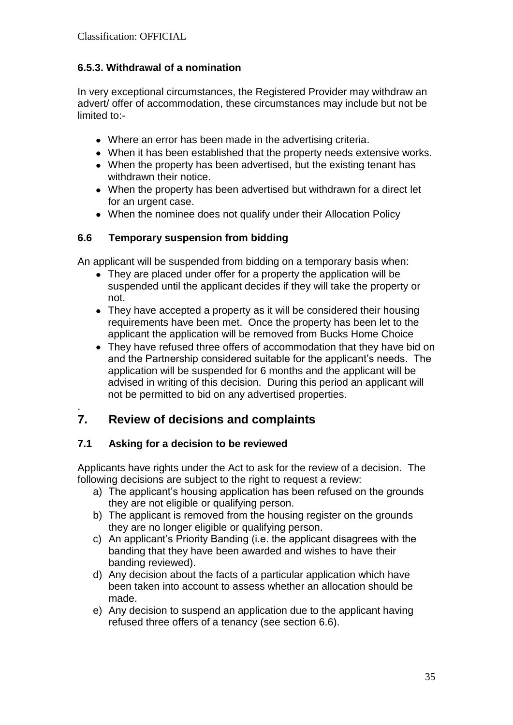# **6.5.3. Withdrawal of a nomination**

In very exceptional circumstances, the Registered Provider may withdraw an advert/ offer of accommodation, these circumstances may include but not be limited to:-

- Where an error has been made in the advertising criteria.
- When it has been established that the property needs extensive works.
- When the property has been advertised, but the existing tenant has withdrawn their notice.
- When the property has been advertised but withdrawn for a direct let for an urgent case.
- When the nominee does not qualify under their Allocation Policy

## **6.6 Temporary suspension from bidding**

An applicant will be suspended from bidding on a temporary basis when:

- They are placed under offer for a property the application will be suspended until the applicant decides if they will take the property or not.
- They have accepted a property as it will be considered their housing requirements have been met. Once the property has been let to the applicant the application will be removed from Bucks Home Choice
- They have refused three offers of accommodation that they have bid on and the Partnership considered suitable for the applicant's needs. The application will be suspended for 6 months and the applicant will be advised in writing of this decision. During this period an applicant will not be permitted to bid on any advertised properties.

# **7. Review of decisions and complaints**

# **7.1 Asking for a decision to be reviewed**

.

Applicants have rights under the Act to ask for the review of a decision. The following decisions are subject to the right to request a review:

- a) The applicant's housing application has been refused on the grounds they are not eligible or qualifying person.
- b) The applicant is removed from the housing register on the grounds they are no longer eligible or qualifying person.
- c) An applicant's Priority Banding (i.e. the applicant disagrees with the banding that they have been awarded and wishes to have their banding reviewed).
- d) Any decision about the facts of a particular application which have been taken into account to assess whether an allocation should be made.
- e) Any decision to suspend an application due to the applicant having refused three offers of a tenancy (see section 6.6).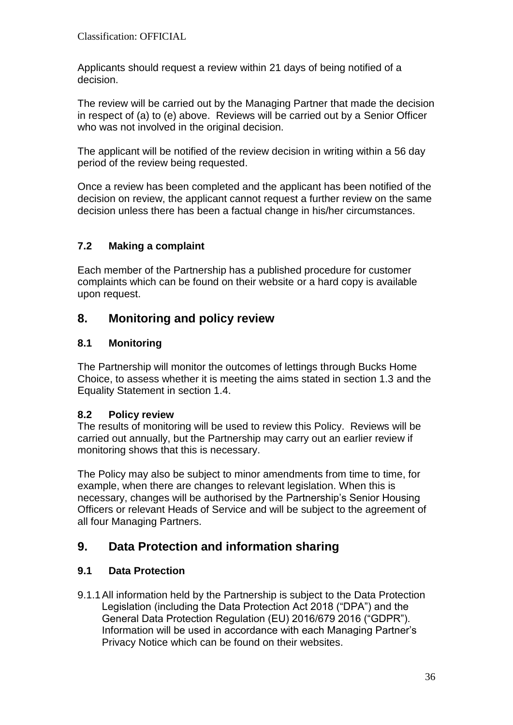Applicants should request a review within 21 days of being notified of a decision.

The review will be carried out by the Managing Partner that made the decision in respect of (a) to (e) above. Reviews will be carried out by a Senior Officer who was not involved in the original decision.

The applicant will be notified of the review decision in writing within a 56 day period of the review being requested.

Once a review has been completed and the applicant has been notified of the decision on review, the applicant cannot request a further review on the same decision unless there has been a factual change in his/her circumstances.

# **7.2 Making a complaint**

Each member of the Partnership has a published procedure for customer complaints which can be found on their website or a hard copy is available upon request.

# **8. Monitoring and policy review**

# **8.1 Monitoring**

The Partnership will monitor the outcomes of lettings through Bucks Home Choice, to assess whether it is meeting the aims stated in section 1.3 and the Equality Statement in section 1.4.

## **8.2 Policy review**

The results of monitoring will be used to review this Policy. Reviews will be carried out annually, but the Partnership may carry out an earlier review if monitoring shows that this is necessary.

The Policy may also be subject to minor amendments from time to time, for example, when there are changes to relevant legislation. When this is necessary, changes will be authorised by the Partnership's Senior Housing Officers or relevant Heads of Service and will be subject to the agreement of all four Managing Partners.

# **9. Data Protection and information sharing**

## **9.1 Data Protection**

9.1.1All information held by the Partnership is subject to the Data Protection Legislation (including the Data Protection Act 2018 ("DPA") and the General Data Protection Regulation (EU) 2016/679 2016 ("GDPR"). Information will be used in accordance with each Managing Partner's Privacy Notice which can be found on their websites.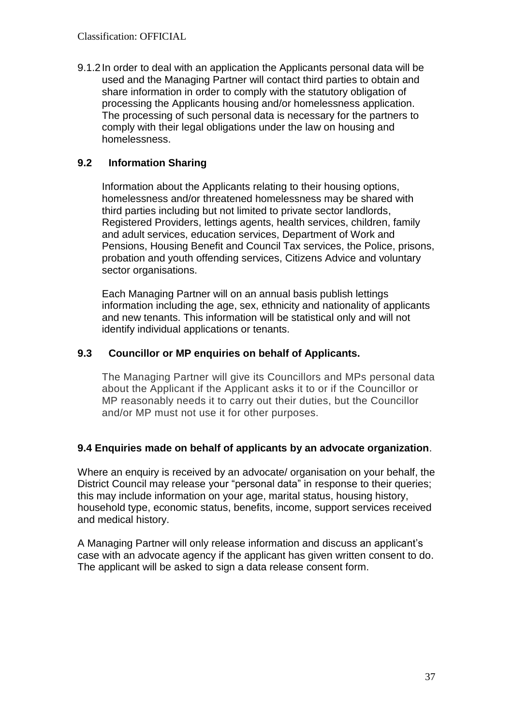9.1.2In order to deal with an application the Applicants personal data will be used and the Managing Partner will contact third parties to obtain and share information in order to comply with the statutory obligation of processing the Applicants housing and/or homelessness application. The processing of such personal data is necessary for the partners to comply with their legal obligations under the law on housing and homelessness.

# **9.2 Information Sharing**

Information about the Applicants relating to their housing options, homelessness and/or threatened homelessness may be shared with third parties including but not limited to private sector landlords, Registered Providers, lettings agents, health services, children, family and adult services, education services, Department of Work and Pensions, Housing Benefit and Council Tax services, the Police, prisons, probation and youth offending services, Citizens Advice and voluntary sector organisations.

Each Managing Partner will on an annual basis publish lettings information including the age, sex, ethnicity and nationality of applicants and new tenants. This information will be statistical only and will not identify individual applications or tenants.

## **9.3 Councillor or MP enquiries on behalf of Applicants.**

The Managing Partner will give its Councillors and MPs personal data about the Applicant if the Applicant asks it to or if the Councillor or MP reasonably needs it to carry out their duties, but the Councillor and/or MP must not use it for other purposes.

## **9.4 Enquiries made on behalf of applicants by an advocate organization**.

Where an enquiry is received by an advocate/ organisation on your behalf, the District Council may release your "personal data" in response to their queries; this may include information on your age, marital status, housing history, household type, economic status, benefits, income, support services received and medical history.

A Managing Partner will only release information and discuss an applicant's case with an advocate agency if the applicant has given written consent to do. The applicant will be asked to sign a data release consent form.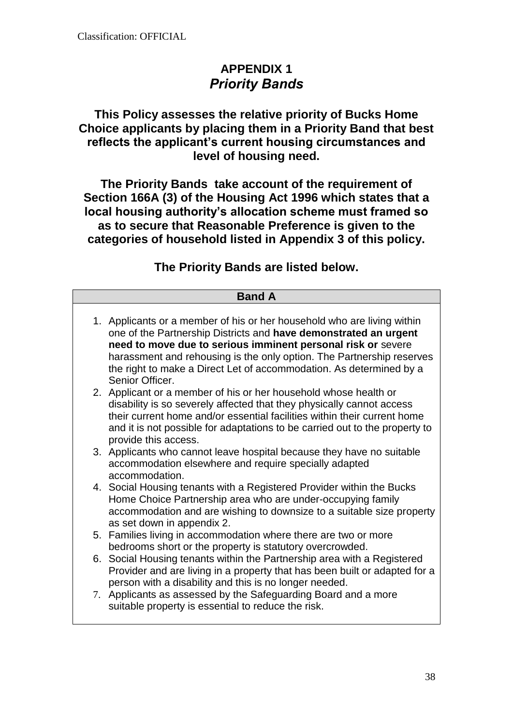# **APPENDIX 1** *Priority Bands*

# **This Policy assesses the relative priority of Bucks Home Choice applicants by placing them in a Priority Band that best reflects the applicant's current housing circumstances and level of housing need.**

**The Priority Bands take account of the requirement of Section 166A (3) of the Housing Act 1996 which states that a local housing authority's allocation scheme must framed so as to secure that Reasonable Preference is given to the categories of household listed in Appendix 3 of this policy.**

# **The Priority Bands are listed below.**

| <b>Band A</b> |                                                                                                                                                                                                                                                                                                                                                                                |  |  |
|---------------|--------------------------------------------------------------------------------------------------------------------------------------------------------------------------------------------------------------------------------------------------------------------------------------------------------------------------------------------------------------------------------|--|--|
|               | 1. Applicants or a member of his or her household who are living within<br>one of the Partnership Districts and have demonstrated an urgent<br>need to move due to serious imminent personal risk or severe<br>harassment and rehousing is the only option. The Partnership reserves<br>the right to make a Direct Let of accommodation. As determined by a<br>Senior Officer. |  |  |
|               | 2. Applicant or a member of his or her household whose health or<br>disability is so severely affected that they physically cannot access<br>their current home and/or essential facilities within their current home<br>and it is not possible for adaptations to be carried out to the property to<br>provide this access.                                                   |  |  |
|               | 3. Applicants who cannot leave hospital because they have no suitable<br>accommodation elsewhere and require specially adapted<br>accommodation.                                                                                                                                                                                                                               |  |  |
|               | 4. Social Housing tenants with a Registered Provider within the Bucks<br>Home Choice Partnership area who are under-occupying family<br>accommodation and are wishing to downsize to a suitable size property<br>as set down in appendix 2.                                                                                                                                    |  |  |
|               | 5. Families living in accommodation where there are two or more<br>bedrooms short or the property is statutory overcrowded.                                                                                                                                                                                                                                                    |  |  |
|               | 6. Social Housing tenants within the Partnership area with a Registered<br>Provider and are living in a property that has been built or adapted for a<br>person with a disability and this is no longer needed.                                                                                                                                                                |  |  |
|               | 7. Applicants as assessed by the Safeguarding Board and a more<br>suitable property is essential to reduce the risk.                                                                                                                                                                                                                                                           |  |  |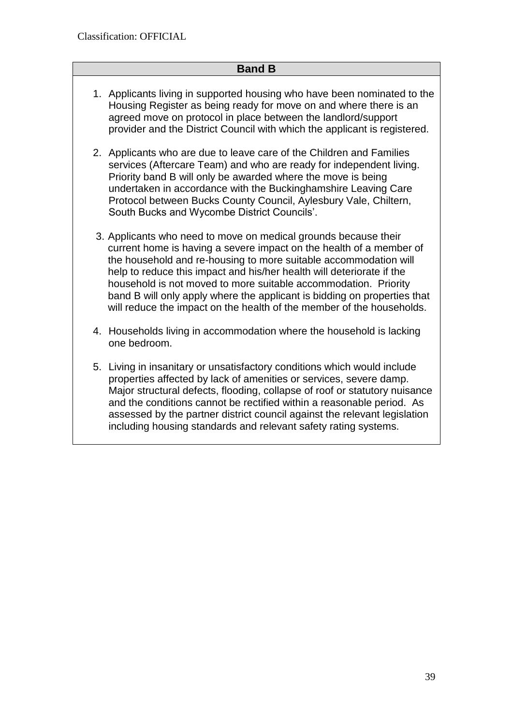# **Band B**

- 1. Applicants living in supported housing who have been nominated to the Housing Register as being ready for move on and where there is an agreed move on protocol in place between the landlord/support provider and the District Council with which the applicant is registered.
- 2. Applicants who are due to leave care of the Children and Families services (Aftercare Team) and who are ready for independent living. Priority band B will only be awarded where the move is being undertaken in accordance with the Buckinghamshire Leaving Care Protocol between Bucks County Council, Aylesbury Vale, Chiltern, South Bucks and Wycombe District Councils'.
- 3. Applicants who need to move on medical grounds because their current home is having a severe impact on the health of a member of the household and re-housing to more suitable accommodation will help to reduce this impact and his/her health will deteriorate if the household is not moved to more suitable accommodation. Priority band B will only apply where the applicant is bidding on properties that will reduce the impact on the health of the member of the households.
- 4. Households living in accommodation where the household is lacking one bedroom.
- 5. Living in insanitary or unsatisfactory conditions which would include properties affected by lack of amenities or services, severe damp. Major structural defects, flooding, collapse of roof or statutory nuisance and the conditions cannot be rectified within a reasonable period. As assessed by the partner district council against the relevant legislation including housing standards and relevant safety rating systems.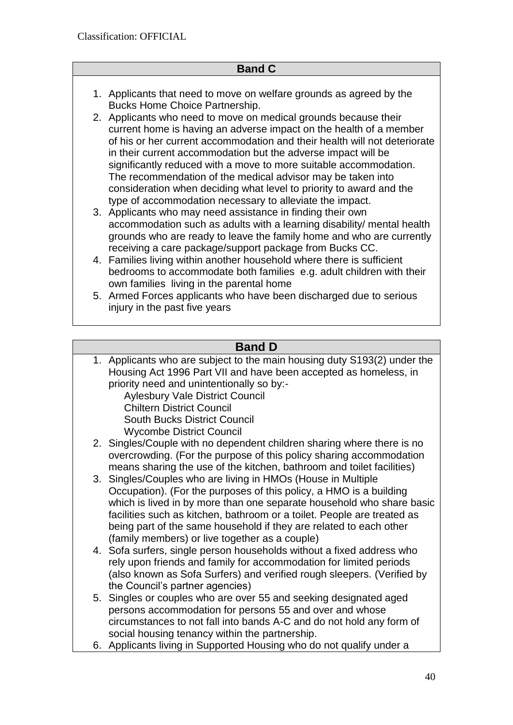# **Band C**

- 1. Applicants that need to move on welfare grounds as agreed by the Bucks Home Choice Partnership.
- 2. Applicants who need to move on medical grounds because their current home is having an adverse impact on the health of a member of his or her current accommodation and their health will not deteriorate in their current accommodation but the adverse impact will be significantly reduced with a move to more suitable accommodation. The recommendation of the medical advisor may be taken into consideration when deciding what level to priority to award and the type of accommodation necessary to alleviate the impact.
- 3. Applicants who may need assistance in finding their own accommodation such as adults with a learning disability/ mental health grounds who are ready to leave the family home and who are currently receiving a care package/support package from Bucks CC.
- 4. Families living within another household where there is sufficient bedrooms to accommodate both families e.g. adult children with their own families living in the parental home
- 5. Armed Forces applicants who have been discharged due to serious injury in the past five years

# **Band D**

1. Applicants who are subject to the main housing duty S193(2) under the Housing Act 1996 Part VII and have been accepted as homeless, in priority need and unintentionally so by:-

Aylesbury Vale District Council Chiltern District Council South Bucks District Council Wycombe District Council

- 2. Singles/Couple with no dependent children sharing where there is no overcrowding. (For the purpose of this policy sharing accommodation means sharing the use of the kitchen, bathroom and toilet facilities)
- 3. Singles/Couples who are living in HMOs (House in Multiple Occupation). (For the purposes of this policy, a HMO is a building which is lived in by more than one separate household who share basic facilities such as kitchen, bathroom or a toilet. People are treated as being part of the same household if they are related to each other (family members) or live together as a couple)
- 4. Sofa surfers, single person households without a fixed address who rely upon friends and family for accommodation for limited periods (also known as Sofa Surfers) and verified rough sleepers. (Verified by the Council's partner agencies)
- 5. Singles or couples who are over 55 and seeking designated aged persons accommodation for persons 55 and over and whose circumstances to not fall into bands A-C and do not hold any form of social housing tenancy within the partnership.
- 6. Applicants living in Supported Housing who do not qualify under a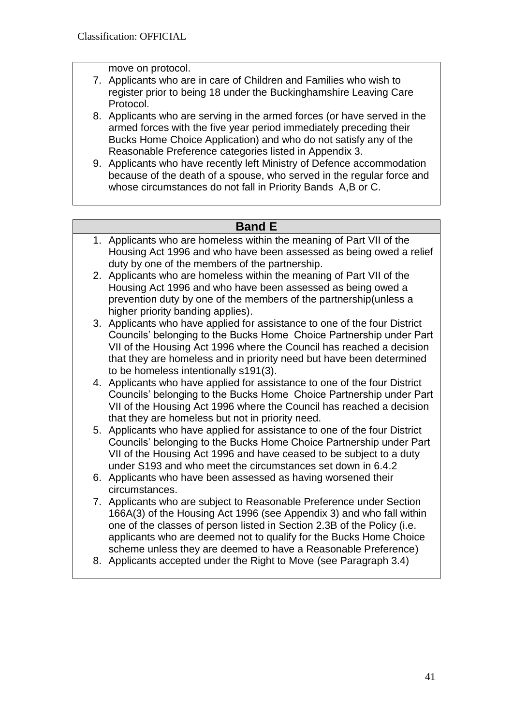move on protocol.

- 7. Applicants who are in care of Children and Families who wish to register prior to being 18 under the Buckinghamshire Leaving Care Protocol.
- 8. Applicants who are serving in the armed forces (or have served in the armed forces with the five year period immediately preceding their Bucks Home Choice Application) and who do not satisfy any of the Reasonable Preference categories listed in Appendix 3.
- 9. Applicants who have recently left Ministry of Defence accommodation because of the death of a spouse, who served in the regular force and whose circumstances do not fall in Priority Bands A,B or C.

# **Band E**

- 1. Applicants who are homeless within the meaning of Part VII of the Housing Act 1996 and who have been assessed as being owed a relief duty by one of the members of the partnership.
- 2. Applicants who are homeless within the meaning of Part VII of the Housing Act 1996 and who have been assessed as being owed a prevention duty by one of the members of the partnership(unless a higher priority banding applies).
- 3. Applicants who have applied for assistance to one of the four District Councils' belonging to the Bucks Home Choice Partnership under Part VII of the Housing Act 1996 where the Council has reached a decision that they are homeless and in priority need but have been determined to be homeless intentionally s191(3).
- 4. Applicants who have applied for assistance to one of the four District Councils' belonging to the Bucks Home Choice Partnership under Part VII of the Housing Act 1996 where the Council has reached a decision that they are homeless but not in priority need.
- 5. Applicants who have applied for assistance to one of the four District Councils' belonging to the Bucks Home Choice Partnership under Part VII of the Housing Act 1996 and have ceased to be subject to a duty under S193 and who meet the circumstances set down in 6.4.2
- 6. Applicants who have been assessed as having worsened their circumstances.
- 7. Applicants who are subject to Reasonable Preference under Section 166A(3) of the Housing Act 1996 (see Appendix 3) and who fall within one of the classes of person listed in Section 2.3B of the Policy (i.e. applicants who are deemed not to qualify for the Bucks Home Choice scheme unless they are deemed to have a Reasonable Preference)
- 8. Applicants accepted under the Right to Move (see Paragraph 3.4)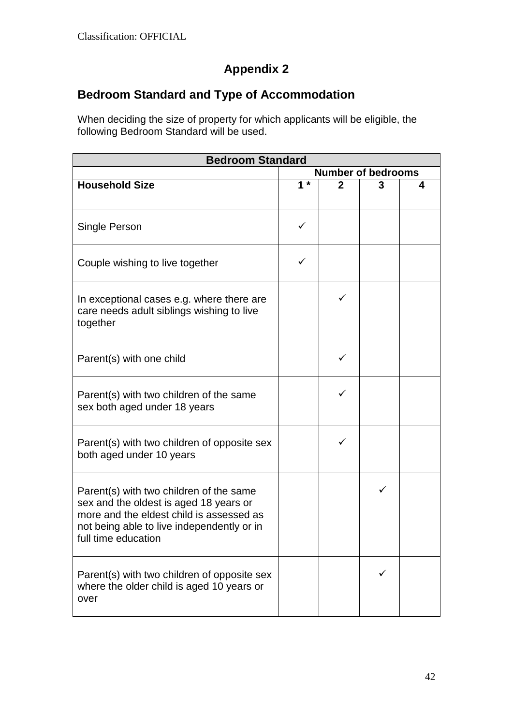# **Appendix 2**

# **Bedroom Standard and Type of Accommodation**

When deciding the size of property for which applicants will be eligible, the following Bedroom Standard will be used.

| <b>Bedroom Standard</b>                                                                                                                                                                            |                           |              |   |   |
|----------------------------------------------------------------------------------------------------------------------------------------------------------------------------------------------------|---------------------------|--------------|---|---|
|                                                                                                                                                                                                    | <b>Number of bedrooms</b> |              |   |   |
| <b>Household Size</b>                                                                                                                                                                              | $1 *$                     | $\mathbf{2}$ | 3 | 4 |
| Single Person                                                                                                                                                                                      | ✓                         |              |   |   |
| Couple wishing to live together                                                                                                                                                                    | ✓                         |              |   |   |
| In exceptional cases e.g. where there are<br>care needs adult siblings wishing to live<br>together                                                                                                 |                           | ✓            |   |   |
| Parent(s) with one child                                                                                                                                                                           |                           |              |   |   |
| Parent(s) with two children of the same<br>sex both aged under 18 years                                                                                                                            |                           |              |   |   |
| Parent(s) with two children of opposite sex<br>both aged under 10 years                                                                                                                            |                           | ✓            |   |   |
| Parent(s) with two children of the same<br>sex and the oldest is aged 18 years or<br>more and the eldest child is assessed as<br>not being able to live independently or in<br>full time education |                           |              | ✓ |   |
| Parent(s) with two children of opposite sex<br>where the older child is aged 10 years or<br>over                                                                                                   |                           |              | ✓ |   |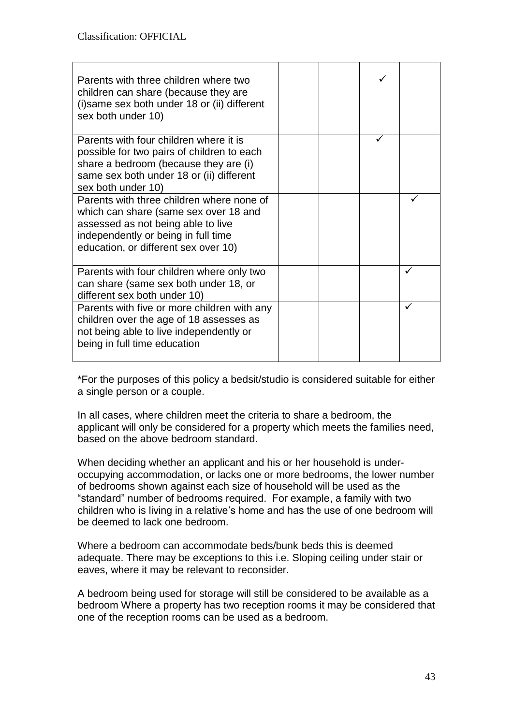| Parents with three children where two<br>children can share (because they are<br>(i) same sex both under 18 or (ii) different<br>sex both under 10)                                                     |  |              |
|---------------------------------------------------------------------------------------------------------------------------------------------------------------------------------------------------------|--|--------------|
| Parents with four children where it is<br>possible for two pairs of children to each<br>share a bedroom (because they are (i)<br>same sex both under 18 or (ii) different<br>sex both under 10)         |  |              |
| Parents with three children where none of<br>which can share (same sex over 18 and<br>assessed as not being able to live<br>independently or being in full time<br>education, or different sex over 10) |  |              |
| Parents with four children where only two<br>can share (same sex both under 18, or<br>different sex both under 10)                                                                                      |  | ✓            |
| Parents with five or more children with any<br>children over the age of 18 assesses as<br>not being able to live independently or<br>being in full time education                                       |  | $\checkmark$ |

\*For the purposes of this policy a bedsit/studio is considered suitable for either a single person or a couple.

In all cases, where children meet the criteria to share a bedroom, the applicant will only be considered for a property which meets the families need, based on the above bedroom standard.

When deciding whether an applicant and his or her household is underoccupying accommodation, or lacks one or more bedrooms, the lower number of bedrooms shown against each size of household will be used as the "standard" number of bedrooms required. For example, a family with two children who is living in a relative's home and has the use of one bedroom will be deemed to lack one bedroom.

Where a bedroom can accommodate beds/bunk beds this is deemed adequate. There may be exceptions to this i.e. Sloping ceiling under stair or eaves, where it may be relevant to reconsider.

A bedroom being used for storage will still be considered to be available as a bedroom Where a property has two reception rooms it may be considered that one of the reception rooms can be used as a bedroom.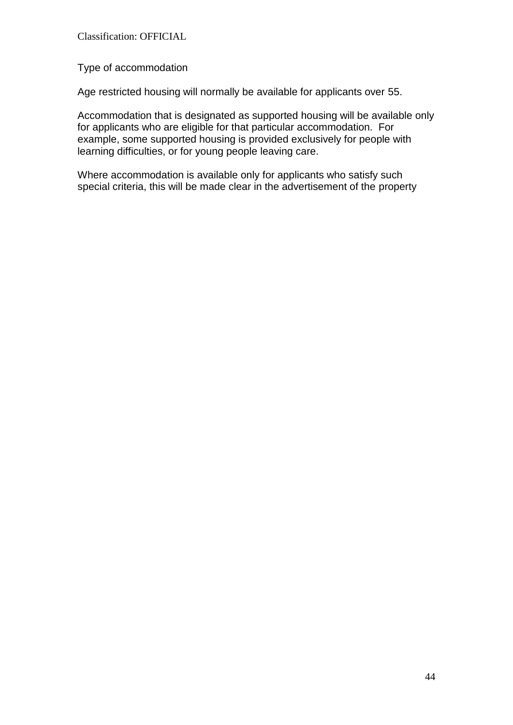Type of accommodation

Age restricted housing will normally be available for applicants over 55.

Accommodation that is designated as supported housing will be available only for applicants who are eligible for that particular accommodation. For example, some supported housing is provided exclusively for people with learning difficulties, or for young people leaving care.

Where accommodation is available only for applicants who satisfy such special criteria, this will be made clear in the advertisement of the property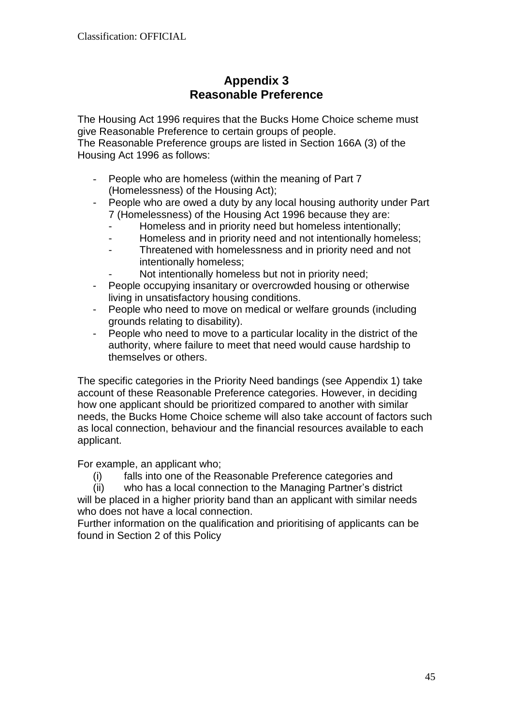# **Appendix 3 Reasonable Preference**

The Housing Act 1996 requires that the Bucks Home Choice scheme must give Reasonable Preference to certain groups of people. The Reasonable Preference groups are listed in Section 166A (3) of the

Housing Act 1996 as follows:

- People who are homeless (within the meaning of Part 7 (Homelessness) of the Housing Act);
- People who are owed a duty by any local housing authority under Part 7 (Homelessness) of the Housing Act 1996 because they are:
	- Homeless and in priority need but homeless intentionally;
	- Homeless and in priority need and not intentionally homeless;
	- Threatened with homelessness and in priority need and not intentionally homeless;
		- Not intentionally homeless but not in priority need;
- People occupying insanitary or overcrowded housing or otherwise living in unsatisfactory housing conditions.
- People who need to move on medical or welfare grounds (including grounds relating to disability).
- People who need to move to a particular locality in the district of the authority, where failure to meet that need would cause hardship to themselves or others.

The specific categories in the Priority Need bandings (see Appendix 1) take account of these Reasonable Preference categories. However, in deciding how one applicant should be prioritized compared to another with similar needs, the Bucks Home Choice scheme will also take account of factors such as local connection, behaviour and the financial resources available to each applicant.

For example, an applicant who;

(i) falls into one of the Reasonable Preference categories and

(ii) who has a local connection to the Managing Partner's district will be placed in a higher priority band than an applicant with similar needs who does not have a local connection.

Further information on the qualification and prioritising of applicants can be found in Section 2 of this Policy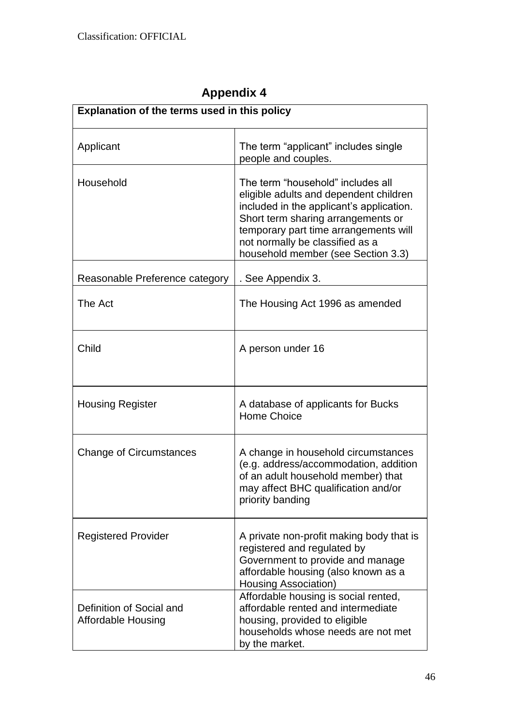| Explanation of the terms used in this policy          |                                                                                                                                                                                                                                                                                 |  |
|-------------------------------------------------------|---------------------------------------------------------------------------------------------------------------------------------------------------------------------------------------------------------------------------------------------------------------------------------|--|
| Applicant                                             | The term "applicant" includes single<br>people and couples.                                                                                                                                                                                                                     |  |
| Household                                             | The term "household" includes all<br>eligible adults and dependent children<br>included in the applicant's application.<br>Short term sharing arrangements or<br>temporary part time arrangements will<br>not normally be classified as a<br>household member (see Section 3.3) |  |
| Reasonable Preference category                        | . See Appendix 3.                                                                                                                                                                                                                                                               |  |
| The Act                                               | The Housing Act 1996 as amended                                                                                                                                                                                                                                                 |  |
| Child                                                 | A person under 16                                                                                                                                                                                                                                                               |  |
| <b>Housing Register</b>                               | A database of applicants for Bucks<br><b>Home Choice</b>                                                                                                                                                                                                                        |  |
| <b>Change of Circumstances</b>                        | A change in household circumstances<br>(e.g. address/accommodation, addition<br>of an adult household member) that<br>may affect BHC qualification and/or<br>priority banding                                                                                                   |  |
| <b>Registered Provider</b>                            | A private non-profit making body that is<br>registered and regulated by<br>Government to provide and manage<br>affordable housing (also known as a<br>Housing Association)                                                                                                      |  |
| Definition of Social and<br><b>Affordable Housing</b> | Affordable housing is social rented,<br>affordable rented and intermediate<br>housing, provided to eligible<br>households whose needs are not met<br>by the market.                                                                                                             |  |

# **Appendix 4**